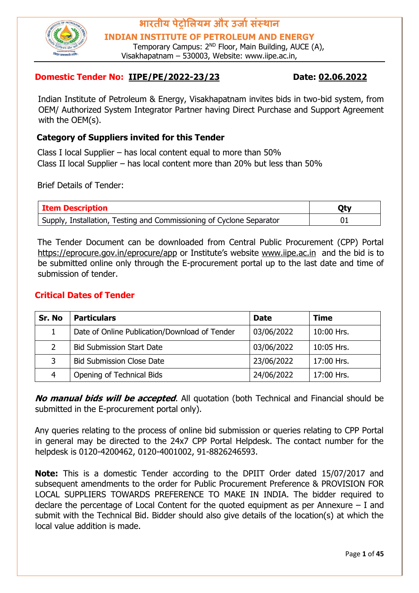

**INDIAN INSTITUTE OF PETROLEUM AND ENERGY**

Temporary Campus: 2<sup>ND</sup> Floor, Main Building, AUCE (A), Visakhapatnam – 530003, Website: www.iipe.ac.in,

#### **Domestic Tender No: IIPE/PE/2022-23/23 Date: 02.06.2022**

Indian Institute of Petroleum & Energy, Visakhapatnam invites bids in two-bid system, from OEM/ Authorized System Integrator Partner having Direct Purchase and Support Agreement with the OEM(s).

#### **Category of Suppliers invited for this Tender**

Class I local Supplier – has local content equal to more than 50% Class II local Supplier – has local content more than 20% but less than 50%

Brief Details of Tender:

| <b>Item Description</b>                                              | <b>Qty</b> |
|----------------------------------------------------------------------|------------|
| Supply, Installation, Testing and Commissioning of Cyclone Separator |            |

The Tender Document can be downloaded from Central Public Procurement (CPP) Portal <https://eprocure.gov.in/eprocure/app> [o](https://eprocure.gov.in/eprocure/app)r Institute's website [www.iipe.ac.in](http://www.iipe.ac.in/) and the bid is to be submitted online only through the E-procurement portal up to the last date and time of submission of tender.

#### **Critical Dates of Tender**

| Sr. No | <b>Particulars</b>                            | <b>Date</b> | <b>Time</b>  |
|--------|-----------------------------------------------|-------------|--------------|
|        | Date of Online Publication/Download of Tender | 03/06/2022  | 10:00 Hrs.   |
|        | <b>Bid Submission Start Date</b>              | 03/06/2022  | $10:05$ Hrs. |
| 3.     | <b>Bid Submission Close Date</b>              | 23/06/2022  | 17:00 Hrs.   |
| 4      | Opening of Technical Bids                     | 24/06/2022  | 17:00 Hrs.   |

**No manual bids will be accepted**. All quotation (both Technical and Financial should be submitted in the E-procurement portal only).

Any queries relating to the process of online bid submission or queries relating to CPP Portal in general may be directed to the 24x7 CPP Portal Helpdesk. The contact number for the helpdesk is 0120-4200462, 0120-4001002, 91-8826246593.

**Note:** This is a domestic Tender according to the DPIIT Order dated 15/07/2017 and subsequent amendments to the order for Public Procurement Preference & PROVISION FOR LOCAL SUPPLIERS TOWARDS PREFERENCE TO MAKE IN INDIA. The bidder required to declare the percentage of Local Content for the quoted equipment as per Annexure  $-1$  and submit with the Technical Bid. Bidder should also give details of the location(s) at which the local value addition is made.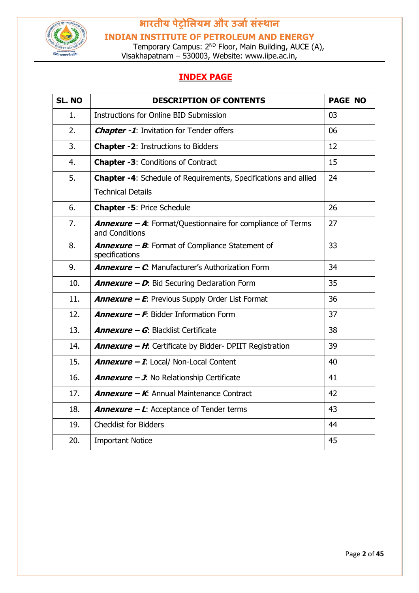

**INDIAN INSTITUTE OF PETROLEUM AND ENERGY**

Temporary Campus: 2<sup>ND</sup> Floor, Main Building, AUCE (A), Visakhapatnam – 530003, Website: www.iipe.ac.in,

#### **INDEX PAGE**

| SL. NO | <b>DESCRIPTION OF CONTENTS</b>                                                              | <b>PAGE NO</b> |
|--------|---------------------------------------------------------------------------------------------|----------------|
| 1.     | Instructions for Online BID Submission                                                      | 03             |
| 2.     | <b>Chapter -1:</b> Invitation for Tender offers                                             | 06             |
| 3.     | <b>Chapter -2: Instructions to Bidders</b>                                                  | 12             |
| 4.     | <b>Chapter -3: Conditions of Contract</b>                                                   | 15             |
| 5.     | Chapter -4: Schedule of Requirements, Specifications and allied<br><b>Technical Details</b> | 24             |
| 6.     | <b>Chapter -5: Price Schedule</b>                                                           | 26             |
| 7.     | <b>Annexure - A:</b> Format/Questionnaire for compliance of Terms<br>and Conditions         | 27             |
| 8.     | <b>Annexure - B:</b> Format of Compliance Statement of<br>specifications                    | 33             |
| 9.     | <b>Annexure - C.</b> Manufacturer's Authorization Form                                      | 34             |
| 10.    | <b>Annexure - D:</b> Bid Securing Declaration Form                                          | 35             |
| 11.    | <b>Annexure - E:</b> Previous Supply Order List Format                                      | 36             |
| 12.    | <b>Annexure - F.</b> Bidder Information Form                                                | 37             |
| 13.    | <b>Annexure - G: Blacklist Certificate</b>                                                  | 38             |
| 14.    | <b>Annexure - H:</b> Certificate by Bidder- DPIIT Registration                              | 39             |
| 15.    | <b>Annexure - I:</b> Local/ Non-Local Content                                               | 40             |
| 16.    | <b>Annexure - J:</b> No Relationship Certificate                                            | 41             |
| 17.    | <b>Annexure - K:</b> Annual Maintenance Contract                                            | 42             |
| 18.    | <b>Annexure – L:</b> Acceptance of Tender terms                                             | 43             |
| 19.    | <b>Checklist for Bidders</b>                                                                | 44             |
| 20.    | <b>Important Notice</b>                                                                     | 45             |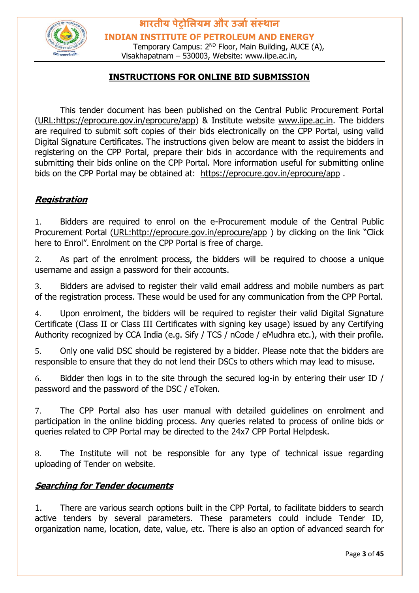

**भारतीय पेट्रोलियम और उर्ाासंस्थान INDIAN INSTITUTE OF PETROLEUM AND ENERGY**

Temporary Campus: 2<sup>ND</sup> Floor, Main Building, AUCE (A), Visakhapatnam – 530003, Website: www.iipe.ac.in,

#### **INSTRUCTIONS FOR ONLINE BID SUBMISSION**

This tender document has been published on the Central Public Procurement Portal [\(URL:https://eprocure.gov.in/eprocure/app\)](https://eprocure.gov.in/eprocure/app) & Institute website [www.iipe.ac.in.](http://www.iipe.ac.in/) The bidders are required to submit soft copies of their bids electronically on the CPP Portal, using valid Digital Signature Certificates. The instructions given below are meant to assist the bidders in registering on the CPP Portal, prepare their bids in accordance with the requirements and submitting their bids online on the CPP Portal. More information useful for submitting online bids on the CPP Portal may be obtained at: <https://eprocure.gov.in/eprocure/app> .

#### **Registration**

1. Bidders are required to enrol on the e-Procurement module of the Central Public Procurement Portal [\(URL:http://eprocure.gov.in/eprocure/app](http://eprocure.gov.in/eprocure/app) [\)](http://eprocure.gov.in/eprocure/app) by clicking on the link "Click here to Enrol". Enrolment on the CPP Portal is free of charge.

2. As part of the enrolment process, the bidders will be required to choose a unique username and assign a password for their accounts.

3. Bidders are advised to register their valid email address and mobile numbers as part of the registration process. These would be used for any communication from the CPP Portal.

4. Upon enrolment, the bidders will be required to register their valid Digital Signature Certificate (Class II or Class III Certificates with signing key usage) issued by any Certifying Authority recognized by CCA India (e.g. Sify / TCS / nCode / eMudhra etc.), with their profile.

5. Only one valid DSC should be registered by a bidder. Please note that the bidders are responsible to ensure that they do not lend their DSCs to others which may lead to misuse.

6. Bidder then logs in to the site through the secured log-in by entering their user ID / password and the password of the DSC / eToken.

7. The CPP Portal also has user manual with detailed guidelines on enrolment and participation in the online bidding process. Any queries related to process of online bids or queries related to CPP Portal may be directed to the 24x7 CPP Portal Helpdesk.

8. The Institute will not be responsible for any type of technical issue regarding uploading of Tender on website.

#### **Searching for Tender documents**

1. There are various search options built in the CPP Portal, to facilitate bidders to search active tenders by several parameters. These parameters could include Tender ID, organization name, location, date, value, etc. There is also an option of advanced search for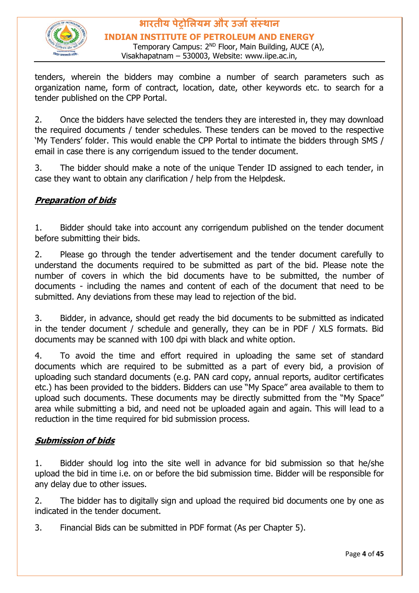

### **भारतीय पेट्रोलियम और उर्ाासंस्थान INDIAN INSTITUTE OF PETROLEUM AND ENERGY**

Temporary Campus: 2<sup>ND</sup> Floor, Main Building, AUCE (A), Visakhapatnam – 530003, Website: www.iipe.ac.in,

tenders, wherein the bidders may combine a number of search parameters such as organization name, form of contract, location, date, other keywords etc. to search for a tender published on the CPP Portal.

2. Once the bidders have selected the tenders they are interested in, they may download the required documents / tender schedules. These tenders can be moved to the respective 'My Tenders' folder. This would enable the CPP Portal to intimate the bidders through SMS / email in case there is any corrigendum issued to the tender document.

3. The bidder should make a note of the unique Tender ID assigned to each tender, in case they want to obtain any clarification / help from the Helpdesk.

#### **Preparation of bids**

1. Bidder should take into account any corrigendum published on the tender document before submitting their bids.

2. Please go through the tender advertisement and the tender document carefully to understand the documents required to be submitted as part of the bid. Please note the number of covers in which the bid documents have to be submitted, the number of documents - including the names and content of each of the document that need to be submitted. Any deviations from these may lead to rejection of the bid.

3. Bidder, in advance, should get ready the bid documents to be submitted as indicated in the tender document / schedule and generally, they can be in PDF / XLS formats. Bid documents may be scanned with 100 dpi with black and white option.

4. To avoid the time and effort required in uploading the same set of standard documents which are required to be submitted as a part of every bid, a provision of uploading such standard documents (e.g. PAN card copy, annual reports, auditor certificates etc.) has been provided to the bidders. Bidders can use "My Space" area available to them to upload such documents. These documents may be directly submitted from the "My Space" area while submitting a bid, and need not be uploaded again and again. This will lead to a reduction in the time required for bid submission process.

#### **Submission of bids**

1. Bidder should log into the site well in advance for bid submission so that he/she upload the bid in time i.e. on or before the bid submission time. Bidder will be responsible for any delay due to other issues.

2. The bidder has to digitally sign and upload the required bid documents one by one as indicated in the tender document.

3. Financial Bids can be submitted in PDF format (As per Chapter 5).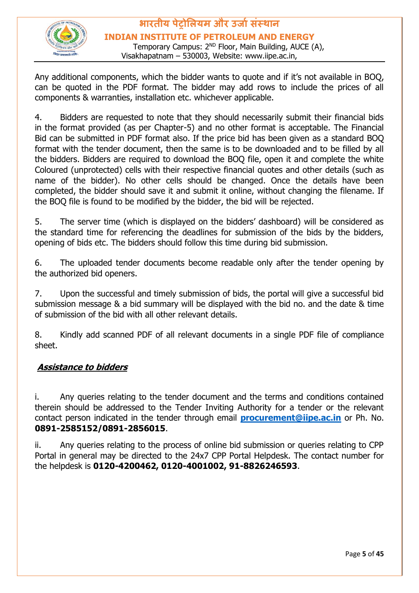

#### **भारतीय पेट्रोलियम और उर्ाासंस्थान INDIAN INSTITUTE OF PETROLEUM AND ENERGY** Temporary Campus: 2<sup>ND</sup> Floor, Main Building, AUCE (A),

Visakhapatnam – 530003, Website: www.iipe.ac.in,

Any additional components, which the bidder wants to quote and if it's not available in BOQ, can be quoted in the PDF format. The bidder may add rows to include the prices of all components & warranties, installation etc. whichever applicable.

4. Bidders are requested to note that they should necessarily submit their financial bids in the format provided (as per Chapter-5) and no other format is acceptable. The Financial Bid can be submitted in PDF format also. If the price bid has been given as a standard BOQ format with the tender document, then the same is to be downloaded and to be filled by all the bidders. Bidders are required to download the BOQ file, open it and complete the white Coloured (unprotected) cells with their respective financial quotes and other details (such as name of the bidder). No other cells should be changed. Once the details have been completed, the bidder should save it and submit it online, without changing the filename. If the BOQ file is found to be modified by the bidder, the bid will be rejected.

5. The server time (which is displayed on the bidders' dashboard) will be considered as the standard time for referencing the deadlines for submission of the bids by the bidders, opening of bids etc. The bidders should follow this time during bid submission.

6. The uploaded tender documents become readable only after the tender opening by the authorized bid openers.

7. Upon the successful and timely submission of bids, the portal will give a successful bid submission message & a bid summary will be displayed with the bid no. and the date & time of submission of the bid with all other relevant details.

8. Kindly add scanned PDF of all relevant documents in a single PDF file of compliance sheet.

#### **Assistance to bidders**

i. Any queries relating to the tender document and the terms and conditions contained therein should be addressed to the Tender Inviting Authority for a tender or the relevant contact person indicated in the tender through email **[procurement@iipe.ac.in](mailto:procurement@iipe.ac.in)** or Ph. No. **0891-2585152/0891-2856015**.

ii. Any queries relating to the process of online bid submission or queries relating to CPP Portal in general may be directed to the 24x7 CPP Portal Helpdesk. The contact number for the helpdesk is **0120-4200462, 0120-4001002, 91-8826246593**.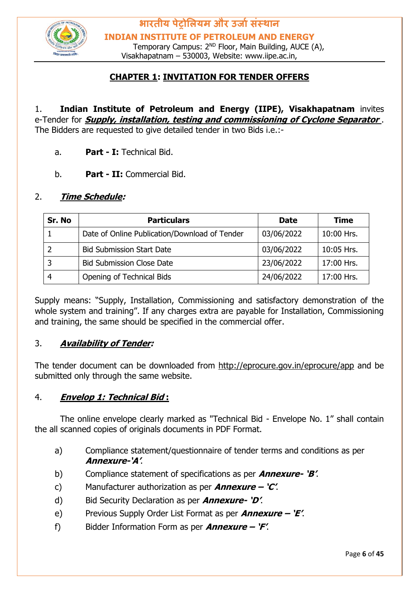

**भारतीय पेट्रोलियम और उर्ाासंस्थान INDIAN INSTITUTE OF PETROLEUM AND ENERGY**

Temporary Campus: 2<sup>ND</sup> Floor, Main Building, AUCE (A), Visakhapatnam – 530003, Website: www.iipe.ac.in,

#### **CHAPTER 1: INVITATION FOR TENDER OFFERS**

#### 1. **Indian Institute of Petroleum and Energy (IIPE), Visakhapatnam** invites e-Tender for **Supply, installation, testing and commissioning of Cyclone Separator** . The Bidders are requested to give detailed tender in two Bids i.e.:-

- a. **Part - I:** Technical Bid.
- b. **Part - II:** Commercial Bid.

#### 2. **Time Schedule:**

| Sr. No | <b>Particulars</b>                            | <b>Date</b> | <b>Time</b> |
|--------|-----------------------------------------------|-------------|-------------|
|        | Date of Online Publication/Download of Tender | 03/06/2022  | 10:00 Hrs.  |
|        | <b>Bid Submission Start Date</b>              | 03/06/2022  | 10:05 Hrs.  |
| 3      | <b>Bid Submission Close Date</b>              | 23/06/2022  | 17:00 Hrs.  |
| 4      | Opening of Technical Bids                     | 24/06/2022  | 17:00 Hrs.  |

Supply means: "Supply, Installation, Commissioning and satisfactory demonstration of the whole system and training". If any charges extra are payable for Installation, Commissioning and training, the same should be specified in the commercial offer.

#### 3. **Availability of Tender:**

The tender document can be downloaded from <http://eprocure.gov.in/eprocure/app> and be submitted only through the same website.

#### 4. **Envelop 1: Technical Bid :**

The online envelope clearly marked as "Technical Bid - Envelope No. 1" shall contain the all scanned copies of originals documents in PDF Format.

- a) Compliance statement/questionnaire of tender terms and conditions as per **Annexure-'A'**.
- b) Compliance statement of specifications as per **Annexure- 'B'**.
- c) Manufacturer authorization as per **Annexure – 'C'**.
- d) Bid Security Declaration as per **Annexure- 'D'**.
- e) Previous Supply Order List Format as per **Annexure – 'E'**.
- f) Bidder Information Form as per **Annexure – 'F'**.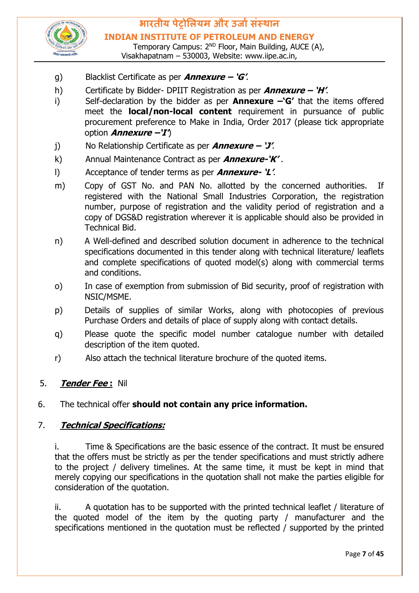

Temporary Campus: 2<sup>ND</sup> Floor, Main Building, AUCE (A), Visakhapatnam – 530003, Website: www.iipe.ac.in,

- g) Blacklist Certificate as per **Annexure – 'G'**.
- h) Certificate by Bidder- DPIIT Registration as per **Annexure – 'H'**.
- i) Self-declaration by the bidder as per **Annexure –'G'** that the items offered meet the **local/non-local content** requirement in pursuance of public procurement preference to Make in India, Order 2017 (please tick appropriate option **Annexure –'I'**)
- j) No Relationship Certificate as per **Annexure – 'J'**.
- k) Annual Maintenance Contract as per **Annexure-'K'** .
- l) Acceptance of tender terms as per **Annexure- 'L'**.
- m) Copy of GST No. and PAN No. allotted by the concerned authorities. If registered with the National Small Industries Corporation, the registration number, purpose of registration and the validity period of registration and a copy of DGS&D registration wherever it is applicable should also be provided in Technical Bid.
- n) A Well-defined and described solution document in adherence to the technical specifications documented in this tender along with technical literature/ leaflets and complete specifications of quoted model(s) along with commercial terms and conditions.
- o) In case of exemption from submission of Bid security, proof of registration with NSIC/MSME.
- p) Details of supplies of similar Works, along with photocopies of previous Purchase Orders and details of place of supply along with contact details.
- q) Please quote the specific model number catalogue number with detailed description of the item quoted.
- r) Also attach the technical literature brochure of the quoted items.

#### 5. **Tender Fee :** Nil

#### 6. The technical offer **should not contain any price information.**

#### 7. **Technical Specifications:**

i. Time & Specifications are the basic essence of the contract. It must be ensured that the offers must be strictly as per the tender specifications and must strictly adhere to the project / delivery timelines. At the same time, it must be kept in mind that merely copying our specifications in the quotation shall not make the parties eligible for consideration of the quotation.

ii. A quotation has to be supported with the printed technical leaflet / literature of the quoted model of the item by the quoting party / manufacturer and the specifications mentioned in the quotation must be reflected / supported by the printed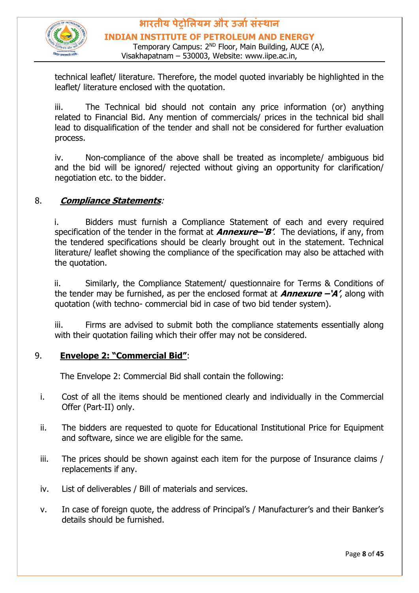

#### **भारतीय पेट्रोलियम और उर्ाासंस्थान INDIAN INSTITUTE OF PETROLEUM AND ENERGY** Temporary Campus: 2<sup>ND</sup> Floor, Main Building, AUCE (A),

Visakhapatnam – 530003, Website: www.iipe.ac.in,

technical leaflet/ literature. Therefore, the model quoted invariably be highlighted in the leaflet/ literature enclosed with the quotation.

iii. The Technical bid should not contain any price information (or) anything related to Financial Bid. Any mention of commercials/ prices in the technical bid shall lead to disqualification of the tender and shall not be considered for further evaluation process.

iv. Non-compliance of the above shall be treated as incomplete/ ambiguous bid and the bid will be ignored/ rejected without giving an opportunity for clarification/ negotiation etc. to the bidder.

#### 8. **Compliance Statements**:

i. Bidders must furnish a Compliance Statement of each and every required specification of the tender in the format at **Annexure–'B'**. The deviations, if any, from the tendered specifications should be clearly brought out in the statement. Technical literature/ leaflet showing the compliance of the specification may also be attached with the quotation.

ii. Similarly, the Compliance Statement/ questionnaire for Terms & Conditions of the tender may be furnished, as per the enclosed format at **Annexure –'A'**, along with quotation (with techno- commercial bid in case of two bid tender system).

iii. Firms are advised to submit both the compliance statements essentially along with their quotation failing which their offer may not be considered.

#### 9. **Envelope 2: "Commercial Bid"**:

The Envelope 2: Commercial Bid shall contain the following:

- i. Cost of all the items should be mentioned clearly and individually in the Commercial Offer (Part-II) only.
- ii. The bidders are requested to quote for Educational Institutional Price for Equipment and software, since we are eligible for the same.
- iii. The prices should be shown against each item for the purpose of Insurance claims / replacements if any.
- iv. List of deliverables / Bill of materials and services.
- v. In case of foreign quote, the address of Principal's / Manufacturer's and their Banker's details should be furnished.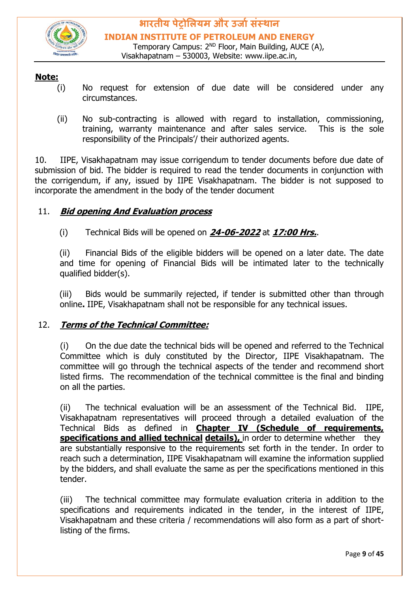

#### **Note:**

- (i) No request for extension of due date will be considered under any circumstances.
- (ii) No sub-contracting is allowed with regard to installation, commissioning, training, warranty maintenance and after sales service. This is the sole responsibility of the Principals'/ their authorized agents.

10. IIPE, Visakhapatnam may issue corrigendum to tender documents before due date of submission of bid. The bidder is required to read the tender documents in conjunction with the corrigendum, if any, issued by IIPE Visakhapatnam. The bidder is not supposed to incorporate the amendment in the body of the tender document

#### 11. **Bid opening And Evaluation process**

(i) Technical Bids will be opened on **24-06-2022** at **17:00 Hrs.**.

(ii) Financial Bids of the eligible bidders will be opened on a later date. The date and time for opening of Financial Bids will be intimated later to the technically qualified bidder(s).

(iii) Bids would be summarily rejected, if tender is submitted other than through online**.** IIPE, Visakhapatnam shall not be responsible for any technical issues.

#### 12. **Terms of the Technical Committee:**

(i) On the due date the technical bids will be opened and referred to the Technical Committee which is duly constituted by the Director, IIPE Visakhapatnam. The committee will go through the technical aspects of the tender and recommend short listed firms. The recommendation of the technical committee is the final and binding on all the parties.

(ii) The technical evaluation will be an assessment of the Technical Bid. IIPE, Visakhapatnam representatives will proceed through a detailed evaluation of the Technical Bids as defined in **Chapter IV (Schedule of requirements, specifications and allied technical details),** in order to determine whether they are substantially responsive to the requirements set forth in the tender. In order to reach such a determination, IIPE Visakhapatnam will examine the information supplied by the bidders, and shall evaluate the same as per the specifications mentioned in this tender.

(iii) The technical committee may formulate evaluation criteria in addition to the specifications and requirements indicated in the tender, in the interest of IIPE, Visakhapatnam and these criteria / recommendations will also form as a part of shortlisting of the firms.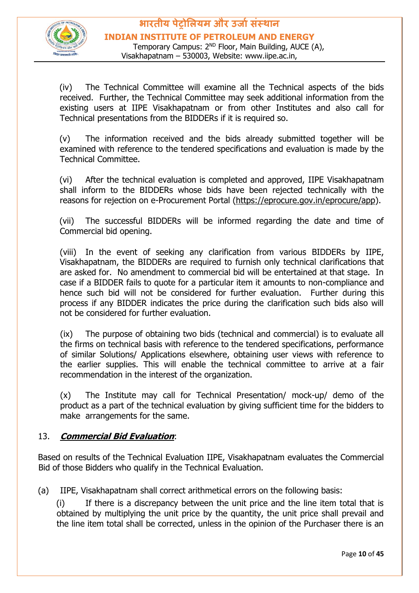

(iv) The Technical Committee will examine all the Technical aspects of the bids received. Further, the Technical Committee may seek additional information from the existing users at IIPE Visakhapatnam or from other Institutes and also call for Technical presentations from the BIDDERs if it is required so.

(v) The information received and the bids already submitted together will be examined with reference to the tendered specifications and evaluation is made by the Technical Committee.

(vi) After the technical evaluation is completed and approved, IIPE Visakhapatnam shall inform to the BIDDERs whose bids have been rejected technically with the reasons for rejection on e-Procurement Portal [\(https://eprocure.gov.in/eprocure/app\).](https://eprocure.gov.in/eprocure/app)

(vii) The successful BIDDERs will be informed regarding the date and time of Commercial bid opening.

(viii) In the event of seeking any clarification from various BIDDERs by IIPE, Visakhapatnam, the BIDDERs are required to furnish only technical clarifications that are asked for. No amendment to commercial bid will be entertained at that stage. In case if a BIDDER fails to quote for a particular item it amounts to non-compliance and hence such bid will not be considered for further evaluation. Further during this process if any BIDDER indicates the price during the clarification such bids also will not be considered for further evaluation.

(ix) The purpose of obtaining two bids (technical and commercial) is to evaluate all the firms on technical basis with reference to the tendered specifications, performance of similar Solutions/ Applications elsewhere, obtaining user views with reference to the earlier supplies. This will enable the technical committee to arrive at a fair recommendation in the interest of the organization.

(x) The Institute may call for Technical Presentation/ mock-up/ demo of the product as a part of the technical evaluation by giving sufficient time for the bidders to make arrangements for the same.

#### 13. **Commercial Bid Evaluation**:

Based on results of the Technical Evaluation IIPE, Visakhapatnam evaluates the Commercial Bid of those Bidders who qualify in the Technical Evaluation.

(a) IIPE, Visakhapatnam shall correct arithmetical errors on the following basis:

(i) If there is a discrepancy between the unit price and the line item total that is obtained by multiplying the unit price by the quantity, the unit price shall prevail and the line item total shall be corrected, unless in the opinion of the Purchaser there is an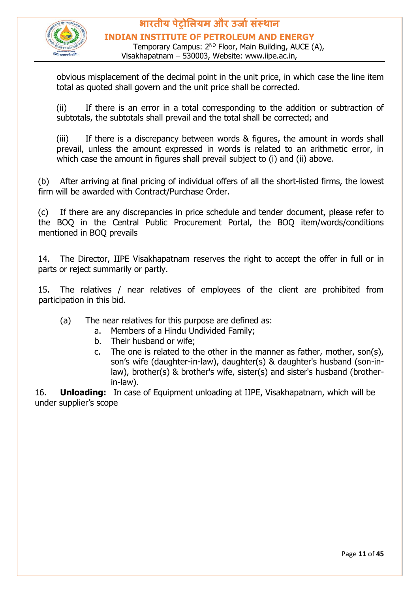

#### **भारतीय पेट्रोलियम और उर्ाासंस्थान INDIAN INSTITUTE OF PETROLEUM AND ENERGY**

Temporary Campus: 2<sup>ND</sup> Floor, Main Building, AUCE (A), Visakhapatnam – 530003, Website: www.iipe.ac.in,

obvious misplacement of the decimal point in the unit price, in which case the line item total as quoted shall govern and the unit price shall be corrected.

(ii) If there is an error in a total corresponding to the addition or subtraction of subtotals, the subtotals shall prevail and the total shall be corrected; and

(iii) If there is a discrepancy between words & figures, the amount in words shall prevail, unless the amount expressed in words is related to an arithmetic error, in which case the amount in figures shall prevail subject to (i) and (ii) above.

(b) After arriving at final pricing of individual offers of all the short-listed firms, the lowest firm will be awarded with Contract/Purchase Order.

(c) If there are any discrepancies in price schedule and tender document, please refer to the BOQ in the Central Public Procurement Portal, the BOQ item/words/conditions mentioned in BOQ prevails

14. The Director, IIPE Visakhapatnam reserves the right to accept the offer in full or in parts or reject summarily or partly.

15. The relatives / near relatives of employees of the client are prohibited from participation in this bid.

- (a) The near relatives for this purpose are defined as:
	- a. Members of a Hindu Undivided Family;
	- b. Their husband or wife;
	- c. The one is related to the other in the manner as father, mother, son(s), son's wife (daughter-in-law), daughter(s) & daughter's husband (son-inlaw), brother(s) & brother's wife, sister(s) and sister's husband (brotherin-law).

16. **Unloading:** In case of Equipment unloading at IIPE, Visakhapatnam, which will be under supplier's scope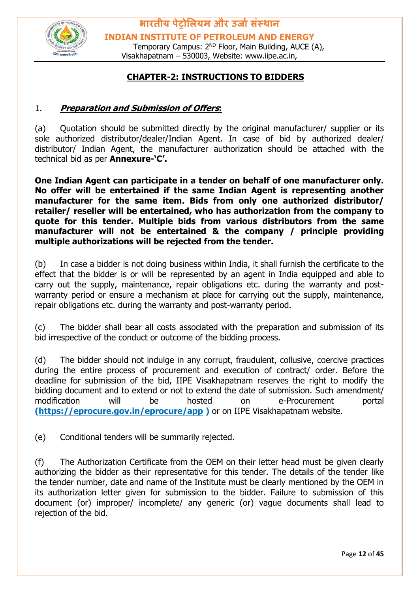

**भारतीय पेट्रोलियम और उर्ाासंस्थान INDIAN INSTITUTE OF PETROLEUM AND ENERGY**

Temporary Campus: 2<sup>ND</sup> Floor, Main Building, AUCE (A), Visakhapatnam – 530003, Website: www.iipe.ac.in,

#### **CHAPTER-2: INSTRUCTIONS TO BIDDERS**

#### 1. **Preparation and Submission of Offers:**

(a) Quotation should be submitted directly by the original manufacturer/ supplier or its sole authorized distributor/dealer/Indian Agent. In case of bid by authorized dealer/ distributor/ Indian Agent, the manufacturer authorization should be attached with the technical bid as per **Annexure-'C'.**

**One Indian Agent can participate in a tender on behalf of one manufacturer only. No offer will be entertained if the same Indian Agent is representing another manufacturer for the same item. Bids from only one authorized distributor/ retailer/ reseller will be entertained, who has authorization from the company to quote for this tender. Multiple bids from various distributors from the same manufacturer will not be entertained & the company / principle providing multiple authorizations will be rejected from the tender.** 

(b) In case a bidder is not doing business within India, it shall furnish the certificate to the effect that the bidder is or will be represented by an agent in India equipped and able to carry out the supply, maintenance, repair obligations etc. during the warranty and postwarranty period or ensure a mechanism at place for carrying out the supply, maintenance, repair obligations etc. during the warranty and post-warranty period.

(c) The bidder shall bear all costs associated with the preparation and submission of its bid irrespective of the conduct or outcome of the bidding process.

(d) The bidder should not indulge in any corrupt, fraudulent, collusive, coercive practices during the entire process of procurement and execution of contract/ order. Before the deadline for submission of the bid, IIPE Visakhapatnam reserves the right to modify the bidding document and to extend or not to extend the date of submission. Such amendment/ modification will be hosted on e-Procurement portal **[\(https://eprocure.gov.in/eprocure/app](https://eprocure.gov.in/eprocure/app) )** or on IIPE Visakhapatnam website.

(e) Conditional tenders will be summarily rejected.

(f) The Authorization Certificate from the OEM on their letter head must be given clearly authorizing the bidder as their representative for this tender. The details of the tender like the tender number, date and name of the Institute must be clearly mentioned by the OEM in its authorization letter given for submission to the bidder. Failure to submission of this document (or) improper/ incomplete/ any generic (or) vague documents shall lead to rejection of the bid.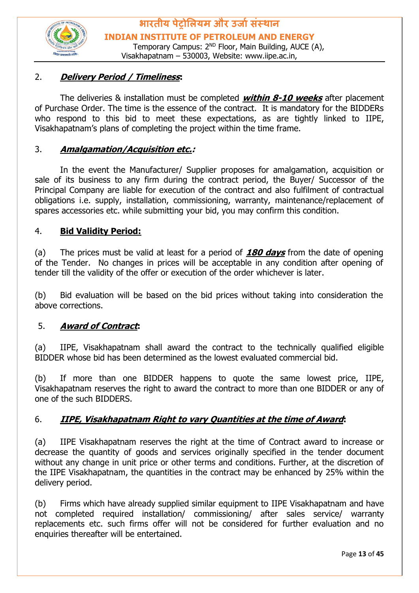

#### 2. **Delivery Period / Timeliness:**

The deliveries & installation must be completed **within 8-10 weeks** after placement of Purchase Order. The time is the essence of the contract. It is mandatory for the BIDDERs who respond to this bid to meet these expectations, as are tightly linked to IIPE, Visakhapatnam's plans of completing the project within the time frame.

#### 3. **Amalgamation/Acquisition etc.:**

In the event the Manufacturer/ Supplier proposes for amalgamation, acquisition or sale of its business to any firm during the contract period, the Buyer/ Successor of the Principal Company are liable for execution of the contract and also fulfilment of contractual obligations i.e. supply, installation, commissioning, warranty, maintenance/replacement of spares accessories etc. while submitting your bid, you may confirm this condition.

#### 4. **Bid Validity Period:**

(a) The prices must be valid at least for a period of **180 days** from the date of opening of the Tender. No changes in prices will be acceptable in any condition after opening of tender till the validity of the offer or execution of the order whichever is later.

(b) Bid evaluation will be based on the bid prices without taking into consideration the above corrections.

#### 5. **Award of Contract:**

(a) IIPE, Visakhapatnam shall award the contract to the technically qualified eligible BIDDER whose bid has been determined as the lowest evaluated commercial bid.

(b) If more than one BIDDER happens to quote the same lowest price, IIPE, Visakhapatnam reserves the right to award the contract to more than one BIDDER or any of one of the such BIDDERS.

#### 6. **IIPE, Visakhapatnam Right to vary Quantities at the time of Award:**

(a) IIPE Visakhapatnam reserves the right at the time of Contract award to increase or decrease the quantity of goods and services originally specified in the tender document without any change in unit price or other terms and conditions. Further, at the discretion of the IIPE Visakhapatnam, the quantities in the contract may be enhanced by 25% within the delivery period.

(b) Firms which have already supplied similar equipment to IIPE Visakhapatnam and have not completed required installation/ commissioning/ after sales service/ warranty replacements etc. such firms offer will not be considered for further evaluation and no enquiries thereafter will be entertained.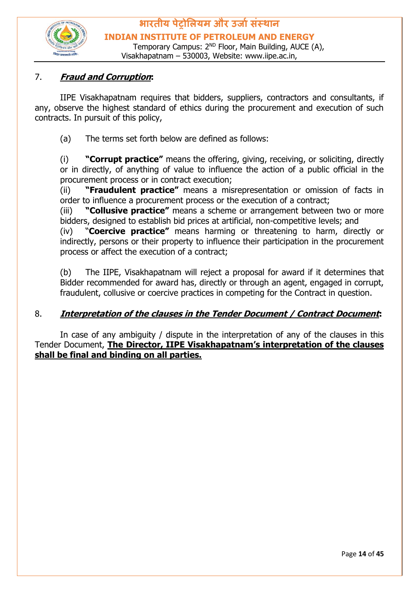

#### 7. **Fraud and Corruption:**

IIPE Visakhapatnam requires that bidders, suppliers, contractors and consultants, if any, observe the highest standard of ethics during the procurement and execution of such contracts. In pursuit of this policy,

(a) The terms set forth below are defined as follows:

(i) **"Corrupt practice"** means the offering, giving, receiving, or soliciting, directly or in directly, of anything of value to influence the action of a public official in the procurement process or in contract execution;

(ii) **"Fraudulent practice"** means a misrepresentation or omission of facts in order to influence a procurement process or the execution of a contract;

(iii) **"Collusive practice"** means a scheme or arrangement between two or more bidders, designed to establish bid prices at artificial, non-competitive levels; and

(iv) "**Coercive practice"** means harming or threatening to harm, directly or indirectly, persons or their property to influence their participation in the procurement process or affect the execution of a contract;

(b) The IIPE, Visakhapatnam will reject a proposal for award if it determines that Bidder recommended for award has, directly or through an agent, engaged in corrupt, fraudulent, collusive or coercive practices in competing for the Contract in question.

#### 8. **Interpretation of the clauses in the Tender Document / Contract Document:**

In case of any ambiguity / dispute in the interpretation of any of the clauses in this Tender Document, **The Director, IIPE Visakhapatnam's interpretation of the clauses shall be final and binding on all parties.**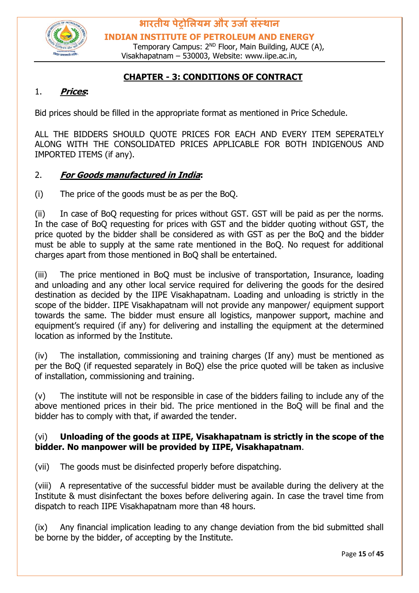

**भारतीय पेट्रोलियम और उर्ाासंस्थान INDIAN INSTITUTE OF PETROLEUM AND ENERGY**

Temporary Campus: 2<sup>ND</sup> Floor, Main Building, AUCE (A), Visakhapatnam – 530003, Website: www.iipe.ac.in,

#### **CHAPTER - 3: CONDITIONS OF CONTRACT**

#### 1. **Prices:**

Bid prices should be filled in the appropriate format as mentioned in Price Schedule.

ALL THE BIDDERS SHOULD QUOTE PRICES FOR EACH AND EVERY ITEM SEPERATELY ALONG WITH THE CONSOLIDATED PRICES APPLICABLE FOR BOTH INDIGENOUS AND IMPORTED ITEMS (if any).

#### 2. **For Goods manufactured in India:**

(i) The price of the goods must be as per the BoQ.

(ii) In case of BoQ requesting for prices without GST. GST will be paid as per the norms. In the case of BoQ requesting for prices with GST and the bidder quoting without GST, the price quoted by the bidder shall be considered as with GST as per the BoQ and the bidder must be able to supply at the same rate mentioned in the BoQ. No request for additional charges apart from those mentioned in BoQ shall be entertained.

(iii) The price mentioned in BoQ must be inclusive of transportation, Insurance, loading and unloading and any other local service required for delivering the goods for the desired destination as decided by the IIPE Visakhapatnam. Loading and unloading is strictly in the scope of the bidder. IIPE Visakhapatnam will not provide any manpower/ equipment support towards the same. The bidder must ensure all logistics, manpower support, machine and equipment's required (if any) for delivering and installing the equipment at the determined location as informed by the Institute.

(iv) The installation, commissioning and training charges (If any) must be mentioned as per the BoQ (if requested separately in BoQ) else the price quoted will be taken as inclusive of installation, commissioning and training.

(v) The institute will not be responsible in case of the bidders failing to include any of the above mentioned prices in their bid. The price mentioned in the BoQ will be final and the bidder has to comply with that, if awarded the tender.

#### (vi) **Unloading of the goods at IIPE, Visakhapatnam is strictly in the scope of the bidder. No manpower will be provided by IIPE, Visakhapatnam**.

(vii) The goods must be disinfected properly before dispatching.

(viii) A representative of the successful bidder must be available during the delivery at the Institute & must disinfectant the boxes before delivering again. In case the travel time from dispatch to reach IIPE Visakhapatnam more than 48 hours.

(ix) Any financial implication leading to any change deviation from the bid submitted shall be borne by the bidder, of accepting by the Institute.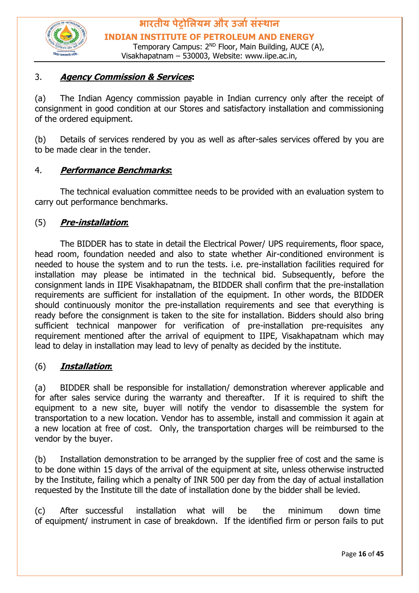

#### 3. **Agency Commission & Services:**

(a) The Indian Agency commission payable in Indian currency only after the receipt of consignment in good condition at our Stores and satisfactory installation and commissioning of the ordered equipment.

(b) Details of services rendered by you as well as after-sales services offered by you are to be made clear in the tender.

#### 4. **Performance Benchmarks:**

The technical evaluation committee needs to be provided with an evaluation system to carry out performance benchmarks.

#### (5) **Pre-installation:**

The BIDDER has to state in detail the Electrical Power/ UPS requirements, floor space, head room, foundation needed and also to state whether Air-conditioned environment is needed to house the system and to run the tests. i.e. pre-installation facilities required for installation may please be intimated in the technical bid. Subsequently, before the consignment lands in IIPE Visakhapatnam, the BIDDER shall confirm that the pre-installation requirements are sufficient for installation of the equipment. In other words, the BIDDER should continuously monitor the pre-installation requirements and see that everything is ready before the consignment is taken to the site for installation. Bidders should also bring sufficient technical manpower for verification of pre-installation pre-requisites any requirement mentioned after the arrival of equipment to IIPE, Visakhapatnam which may lead to delay in installation may lead to levy of penalty as decided by the institute.

#### (6) **Installation:**

(a) BIDDER shall be responsible for installation/ demonstration wherever applicable and for after sales service during the warranty and thereafter. If it is required to shift the equipment to a new site, buyer will notify the vendor to disassemble the system for transportation to a new location. Vendor has to assemble, install and commission it again at a new location at free of cost. Only, the transportation charges will be reimbursed to the vendor by the buyer.

(b) Installation demonstration to be arranged by the supplier free of cost and the same is to be done within 15 days of the arrival of the equipment at site, unless otherwise instructed by the Institute, failing which a penalty of INR 500 per day from the day of actual installation requested by the Institute till the date of installation done by the bidder shall be levied.

(c) After successful installation what will be the minimum down time of equipment/ instrument in case of breakdown. If the identified firm or person fails to put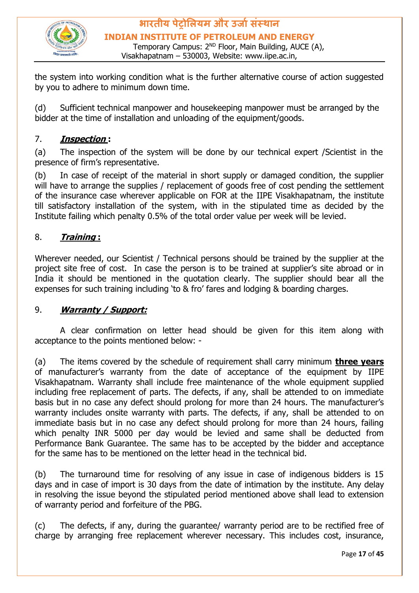

**भारतीय पेट्रोलियम और उर्ाासंस्थान INDIAN INSTITUTE OF PETROLEUM AND ENERGY** Temporary Campus: 2<sup>ND</sup> Floor, Main Building, AUCE (A),

Visakhapatnam – 530003, Website: www.iipe.ac.in,

the system into working condition what is the further alternative course of action suggested by you to adhere to minimum down time.

(d) Sufficient technical manpower and housekeeping manpower must be arranged by the bidder at the time of installation and unloading of the equipment/goods.

#### 7. **Inspection :**

(a) The inspection of the system will be done by our technical expert /Scientist in the presence of firm's representative.

(b) In case of receipt of the material in short supply or damaged condition, the supplier will have to arrange the supplies / replacement of goods free of cost pending the settlement of the insurance case wherever applicable on FOR at the IIPE Visakhapatnam, the institute till satisfactory installation of the system, with in the stipulated time as decided by the Institute failing which penalty 0.5% of the total order value per week will be levied.

#### 8. **Training :**

Wherever needed, our Scientist / Technical persons should be trained by the supplier at the project site free of cost. In case the person is to be trained at supplier's site abroad or in India it should be mentioned in the quotation clearly. The supplier should bear all the expenses for such training including 'to & fro' fares and lodging & boarding charges.

#### 9. **Warranty / Support:**

A clear confirmation on letter head should be given for this item along with acceptance to the points mentioned below: -

(a) The items covered by the schedule of requirement shall carry minimum **three years** of manufacturer's warranty from the date of acceptance of the equipment by IIPE Visakhapatnam. Warranty shall include free maintenance of the whole equipment supplied including free replacement of parts. The defects, if any, shall be attended to on immediate basis but in no case any defect should prolong for more than 24 hours. The manufacturer's warranty includes onsite warranty with parts. The defects, if any, shall be attended to on immediate basis but in no case any defect should prolong for more than 24 hours, failing which penalty INR 5000 per day would be levied and same shall be deducted from Performance Bank Guarantee. The same has to be accepted by the bidder and acceptance for the same has to be mentioned on the letter head in the technical bid.

(b) The turnaround time for resolving of any issue in case of indigenous bidders is 15 days and in case of import is 30 days from the date of intimation by the institute. Any delay in resolving the issue beyond the stipulated period mentioned above shall lead to extension of warranty period and forfeiture of the PBG.

(c) The defects, if any, during the guarantee/ warranty period are to be rectified free of charge by arranging free replacement wherever necessary. This includes cost, insurance,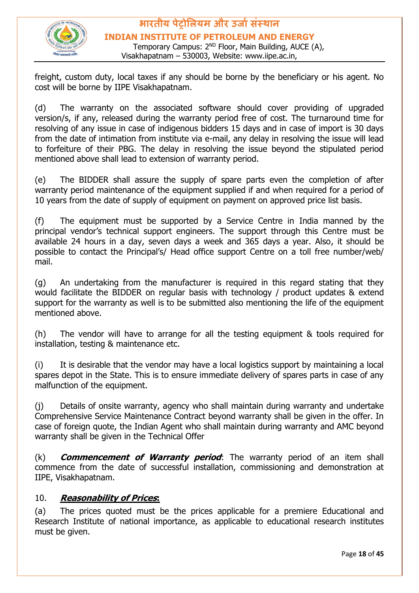

**भारतीय पेट्रोलियम और उर्ाासंस्थान INDIAN INSTITUTE OF PETROLEUM AND ENERGY** Temporary Campus: 2<sup>ND</sup> Floor, Main Building, AUCE (A), Visakhapatnam – 530003, Website: www.iipe.ac.in,

freight, custom duty, local taxes if any should be borne by the beneficiary or his agent. No cost will be borne by IIPE Visakhapatnam.

(d) The warranty on the associated software should cover providing of upgraded version/s, if any, released during the warranty period free of cost. The turnaround time for resolving of any issue in case of indigenous bidders 15 days and in case of import is 30 days from the date of intimation from institute via e-mail, any delay in resolving the issue will lead to forfeiture of their PBG. The delay in resolving the issue beyond the stipulated period mentioned above shall lead to extension of warranty period.

(e) The BIDDER shall assure the supply of spare parts even the completion of after warranty period maintenance of the equipment supplied if and when required for a period of 10 years from the date of supply of equipment on payment on approved price list basis.

(f) The equipment must be supported by a Service Centre in India manned by the principal vendor's technical support engineers. The support through this Centre must be available 24 hours in a day, seven days a week and 365 days a year. Also, it should be possible to contact the Principal's/ Head office support Centre on a toll free number/web/ mail.

(g) An undertaking from the manufacturer is required in this regard stating that they would facilitate the BIDDER on regular basis with technology / product updates & extend support for the warranty as well is to be submitted also mentioning the life of the equipment mentioned above.

(h) The vendor will have to arrange for all the testing equipment & tools required for installation, testing & maintenance etc.

(i) It is desirable that the vendor may have a local logistics support by maintaining a local spares depot in the State. This is to ensure immediate delivery of spares parts in case of any malfunction of the equipment.

(j) Details of onsite warranty, agency who shall maintain during warranty and undertake Comprehensive Service Maintenance Contract beyond warranty shall be given in the offer. In case of foreign quote, the Indian Agent who shall maintain during warranty and AMC beyond warranty shall be given in the Technical Offer

(k) **Commencement of Warranty period**: The warranty period of an item shall commence from the date of successful installation, commissioning and demonstration at IIPE, Visakhapatnam.

#### 10. **Reasonability of Prices:**

(a) The prices quoted must be the prices applicable for a premiere Educational and Research Institute of national importance, as applicable to educational research institutes must be given.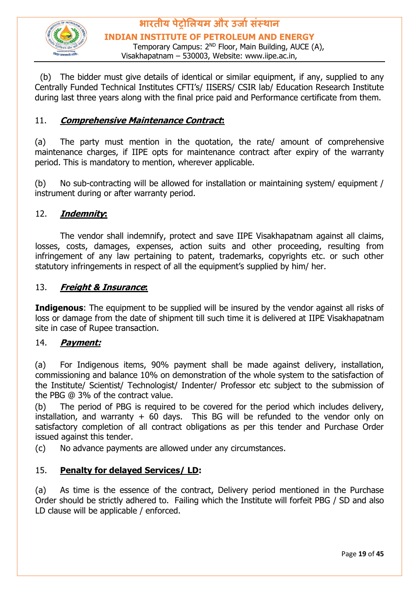

**भारतीय पेट्रोलियम और उर्ाासंस्थान INDIAN INSTITUTE OF PETROLEUM AND ENERGY** Temporary Campus: 2<sup>ND</sup> Floor, Main Building, AUCE (A), Visakhapatnam – 530003, Website: www.iipe.ac.in,

 (b) The bidder must give details of identical or similar equipment, if any, supplied to any Centrally Funded Technical Institutes CFTI's/ IISERS/ CSIR lab/ Education Research Institute during last three years along with the final price paid and Performance certificate from them.

#### 11. **Comprehensive Maintenance Contract:**

(a) The party must mention in the quotation, the rate/ amount of comprehensive maintenance charges, if IIPE opts for maintenance contract after expiry of the warranty period. This is mandatory to mention, wherever applicable.

(b) No sub-contracting will be allowed for installation or maintaining system/ equipment / instrument during or after warranty period.

#### 12. **Indemnity:**

The vendor shall indemnify, protect and save IIPE Visakhapatnam against all claims, losses, costs, damages, expenses, action suits and other proceeding, resulting from infringement of any law pertaining to patent, trademarks, copyrights etc. or such other statutory infringements in respect of all the equipment's supplied by him/ her.

#### 13. **Freight & Insurance:**

**Indigenous**: The equipment to be supplied will be insured by the vendor against all risks of loss or damage from the date of shipment till such time it is delivered at IIPE Visakhapatnam site in case of Rupee transaction.

#### 14. **Payment:**

(a) For Indigenous items, 90% payment shall be made against delivery, installation, commissioning and balance 10% on demonstration of the whole system to the satisfaction of the Institute/ Scientist/ Technologist/ Indenter/ Professor etc subject to the submission of the PBG @ 3% of the contract value.

(b) The period of PBG is required to be covered for the period which includes delivery, installation, and warranty  $+$  60 days. This BG will be refunded to the vendor only on satisfactory completion of all contract obligations as per this tender and Purchase Order issued against this tender.

(c) No advance payments are allowed under any circumstances.

#### 15. **Penalty for delayed Services/ LD:**

(a) As time is the essence of the contract, Delivery period mentioned in the Purchase Order should be strictly adhered to. Failing which the Institute will forfeit PBG / SD and also LD clause will be applicable / enforced.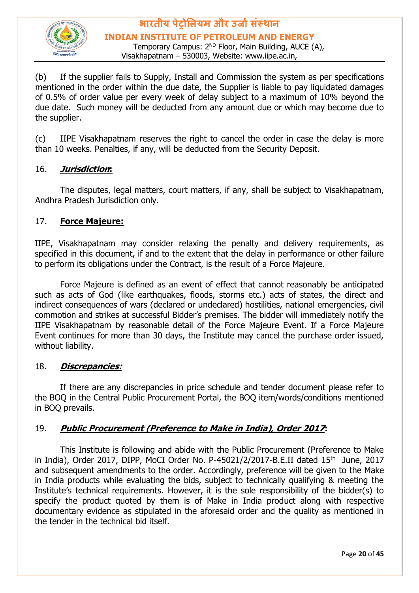

#### **भारतीय पेट्रोलियम और उर्ाासंस्थान INDIAN INSTITUTE OF PETROLEUM AND ENERGY** Temporary Campus: 2<sup>ND</sup> Floor, Main Building, AUCE (A),

Visakhapatnam – 530003, Website: www.iipe.ac.in,

(b) If the supplier fails to Supply, Install and Commission the system as per specifications mentioned in the order within the due date, the Supplier is liable to pay liquidated damages of 0.5% of order value per every week of delay subject to a maximum of 10% beyond the due date. Such money will be deducted from any amount due or which may become due to the supplier.

(c) IIPE Visakhapatnam reserves the right to cancel the order in case the delay is more than 10 weeks. Penalties, if any, will be deducted from the Security Deposit.

#### 16. **Jurisdiction:**

The disputes, legal matters, court matters, if any, shall be subject to Visakhapatnam, Andhra Pradesh Jurisdiction only.

#### 17. **Force Majeure:**

IIPE, Visakhapatnam may consider relaxing the penalty and delivery requirements, as specified in this document, if and to the extent that the delay in performance or other failure to perform its obligations under the Contract, is the result of a Force Majeure.

Force Majeure is defined as an event of effect that cannot reasonably be anticipated such as acts of God (like earthquakes, floods, storms etc.) acts of states, the direct and indirect consequences of wars (declared or undeclared) hostilities, national emergencies, civil commotion and strikes at successful Bidder's premises. The bidder will immediately notify the IIPE Visakhapatnam by reasonable detail of the Force Majeure Event. If a Force Majeure Event continues for more than 30 days, the Institute may cancel the purchase order issued, without liability.

#### 18. **Discrepancies:**

If there are any discrepancies in price schedule and tender document please refer to the BOQ in the Central Public Procurement Portal, the BOQ item/words/conditions mentioned in BOQ prevails.

#### 19. **Public Procurement (Preference to Make in India), Order 2017:**

This Institute is following and abide with the Public Procurement (Preference to Make in India), Order 2017, DIPP, MoCI Order No. P-45021/2/2017-B.E.II dated  $15<sup>th</sup>$  June, 2017 and subsequent amendments to the order. Accordingly, preference will be given to the Make in India products while evaluating the bids, subject to technically qualifying & meeting the Institute's technical requirements. However, it is the sole responsibility of the bidder(s) to specify the product quoted by them is of Make in India product along with respective documentary evidence as stipulated in the aforesaid order and the quality as mentioned in the tender in the technical bid itself.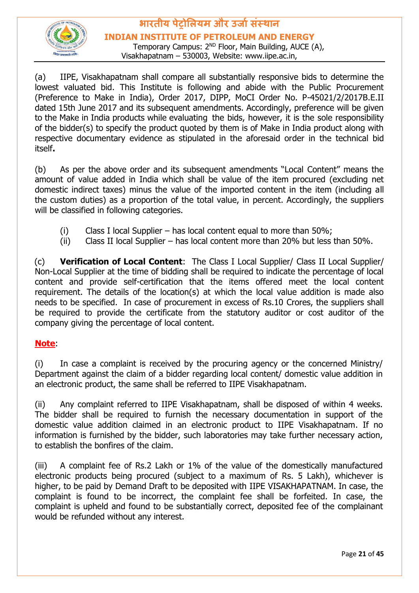

**INDIAN INSTITUTE OF PETROLEUM AND ENERGY**

Temporary Campus: 2<sup>ND</sup> Floor, Main Building, AUCE (A), Visakhapatnam – 530003, Website: www.iipe.ac.in,

(a) IIPE, Visakhapatnam shall compare all substantially responsive bids to determine the lowest valuated bid. This Institute is following and abide with the Public Procurement (Preference to Make in India), Order 2017, DIPP, MoCI Order No. P-45021/2/2017B.E.II dated 15th June 2017 and its subsequent amendments. Accordingly, preference will be given to the Make in India products while evaluating the bids, however, it is the sole responsibility of the bidder(s) to specify the product quoted by them is of Make in India product along with respective documentary evidence as stipulated in the aforesaid order in the technical bid itself**.** 

(b) As per the above order and its subsequent amendments "Local Content" means the amount of value added in India which shall be value of the item procured (excluding net domestic indirect taxes) minus the value of the imported content in the item (including all the custom duties) as a proportion of the total value, in percent. Accordingly, the suppliers will be classified in following categories.

- (i) Class I local Supplier has local content equal to more than  $50\%$ ;
- (ii) Class II local Supplier has local content more than 20% but less than 50%.

(c) **Verification of Local Content**: The Class I Local Supplier/ Class II Local Supplier/ Non-Local Supplier at the time of bidding shall be required to indicate the percentage of local content and provide self-certification that the items offered meet the local content requirement. The details of the location(s) at which the local value addition is made also needs to be specified. In case of procurement in excess of Rs.10 Crores, the suppliers shall be required to provide the certificate from the statutory auditor or cost auditor of the company giving the percentage of local content.

#### **Note**:

(i) In case a complaint is received by the procuring agency or the concerned Ministry/ Department against the claim of a bidder regarding local content/ domestic value addition in an electronic product, the same shall be referred to IIPE Visakhapatnam.

(ii) Any complaint referred to IIPE Visakhapatnam, shall be disposed of within 4 weeks. The bidder shall be required to furnish the necessary documentation in support of the domestic value addition claimed in an electronic product to IIPE Visakhapatnam. If no information is furnished by the bidder, such laboratories may take further necessary action, to establish the bonfires of the claim.

(iii) A complaint fee of Rs.2 Lakh or 1% of the value of the domestically manufactured electronic products being procured (subject to a maximum of Rs. 5 Lakh), whichever is higher, to be paid by Demand Draft to be deposited with IIPE VISAKHAPATNAM. In case, the complaint is found to be incorrect, the complaint fee shall be forfeited. In case, the complaint is upheld and found to be substantially correct, deposited fee of the complainant would be refunded without any interest.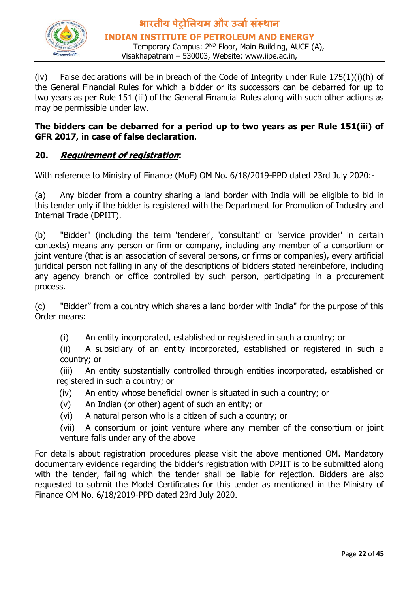

#### **भारतीय पेट्रोलियम और उर्ाासंस्थान INDIAN INSTITUTE OF PETROLEUM AND ENERGY** Temporary Campus: 2<sup>ND</sup> Floor, Main Building, AUCE (A),

Visakhapatnam – 530003, Website: www.iipe.ac.in,

(iv) False declarations will be in breach of the Code of Integrity under Rule  $175(1)(i)(h)$  of the General Financial Rules for which a bidder or its successors can be debarred for up to two years as per Rule 151 (iii) of the General Financial Rules along with such other actions as may be permissible under law.

#### **The bidders can be debarred for a period up to two years as per Rule 151(iii) of GFR 2017, in case of false declaration.**

#### **20. Requirement of registration:**

With reference to Ministry of Finance (MoF) OM No. 6/18/2019-PPD dated 23rd July 2020:-

(a) Any bidder from a country sharing a land border with India will be eligible to bid in this tender only if the bidder is registered with the Department for Promotion of Industry and Internal Trade (DPIIT).

(b) "Bidder" (including the term 'tenderer', 'consultant' or 'service provider' in certain contexts) means any person or firm or company, including any member of a consortium or joint venture (that is an association of several persons, or firms or companies), every artificial juridical person not falling in any of the descriptions of bidders stated hereinbefore, including any agency branch or office controlled by such person, participating in a procurement process.

(c) "Bidder" from a country which shares a land border with India" for the purpose of this Order means:

(i) An entity incorporated, established or registered in such a country; or

(ii) A subsidiary of an entity incorporated, established or registered in such a country; or

(iii) An entity substantially controlled through entities incorporated, established or registered in such a country; or

- (iv) An entity whose beneficial owner is situated in such a country; or
- (v) An Indian (or other) agent of such an entity; or
- (vi) A natural person who is a citizen of such a country; or

(vii) A consortium or joint venture where any member of the consortium or joint venture falls under any of the above

For details about registration procedures please visit the above mentioned OM. Mandatory documentary evidence regarding the bidder's registration with DPIIT is to be submitted along with the tender, failing which the tender shall be liable for rejection. Bidders are also requested to submit the Model Certificates for this tender as mentioned in the Ministry of Finance OM No. 6/18/2019-PPD dated 23rd July 2020.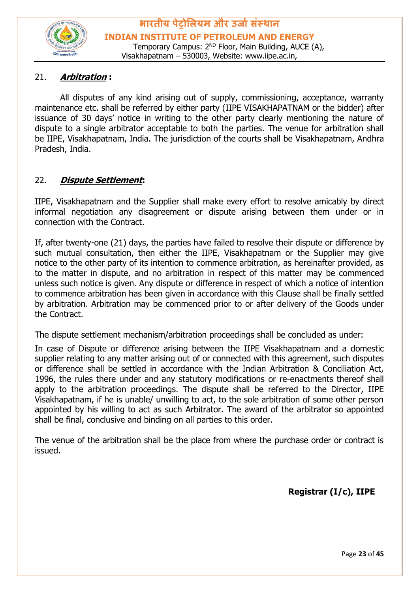

#### 21. **Arbitration :**

All disputes of any kind arising out of supply, commissioning, acceptance, warranty maintenance etc. shall be referred by either party (IIPE VISAKHAPATNAM or the bidder) after issuance of 30 days' notice in writing to the other party clearly mentioning the nature of dispute to a single arbitrator acceptable to both the parties. The venue for arbitration shall be IIPE, Visakhapatnam, India. The jurisdiction of the courts shall be Visakhapatnam, Andhra Pradesh, India.

#### 22. **Dispute Settlement:**

IIPE, Visakhapatnam and the Supplier shall make every effort to resolve amicably by direct informal negotiation any disagreement or dispute arising between them under or in connection with the Contract.

If, after twenty-one (21) days, the parties have failed to resolve their dispute or difference by such mutual consultation, then either the IIPE, Visakhapatnam or the Supplier may give notice to the other party of its intention to commence arbitration, as hereinafter provided, as to the matter in dispute, and no arbitration in respect of this matter may be commenced unless such notice is given. Any dispute or difference in respect of which a notice of intention to commence arbitration has been given in accordance with this Clause shall be finally settled by arbitration. Arbitration may be commenced prior to or after delivery of the Goods under the Contract.

The dispute settlement mechanism/arbitration proceedings shall be concluded as under:

In case of Dispute or difference arising between the IIPE Visakhapatnam and a domestic supplier relating to any matter arising out of or connected with this agreement, such disputes or difference shall be settled in accordance with the Indian Arbitration & Conciliation Act, 1996, the rules there under and any statutory modifications or re-enactments thereof shall apply to the arbitration proceedings. The dispute shall be referred to the Director, IIPE Visakhapatnam, if he is unable/ unwilling to act, to the sole arbitration of some other person appointed by his willing to act as such Arbitrator. The award of the arbitrator so appointed shall be final, conclusive and binding on all parties to this order.

The venue of the arbitration shall be the place from where the purchase order or contract is issued.

**Registrar (I/c), IIPE**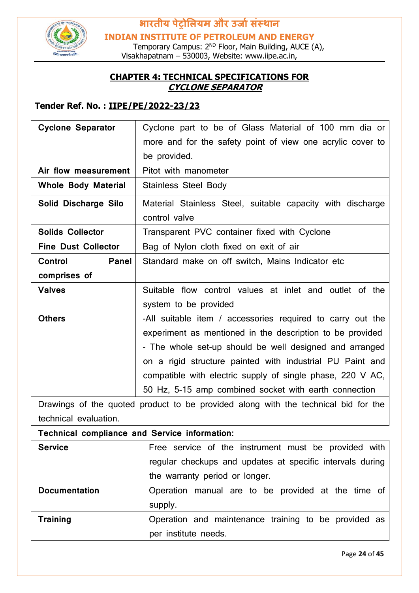

**INDIAN INSTITUTE OF PETROLEUM AND ENERGY**

Temporary Campus: 2<sup>ND</sup> Floor, Main Building, AUCE (A), Visakhapatnam – 530003, Website: www.iipe.ac.in,

#### **CHAPTER 4: TECHNICAL SPECIFICATIONS FOR CYCLONE SEPARATOR**

#### **Tender Ref. No. : IIPE/PE/2022-23/23**

| <b>Cyclone Separator</b>                                                | Cyclone part to be of Glass Material of 100 mm dia or                       |  |
|-------------------------------------------------------------------------|-----------------------------------------------------------------------------|--|
|                                                                         | more and for the safety point of view one acrylic cover to                  |  |
|                                                                         | be provided.                                                                |  |
| Air flow measurement                                                    | Pitot with manometer                                                        |  |
| <b>Whole Body Material</b>                                              | <b>Stainless Steel Body</b>                                                 |  |
| Solid Discharge Silo                                                    | Material Stainless Steel, suitable capacity with discharge<br>control valve |  |
| <b>Solids Collector</b><br>Transparent PVC container fixed with Cyclone |                                                                             |  |
| <b>Fine Dust Collector</b>                                              | Bag of Nylon cloth fixed on exit of air                                     |  |
| <b>Control</b><br>Panel                                                 | Standard make on off switch, Mains Indicator etc                            |  |
| comprises of                                                            |                                                                             |  |
| <b>Valves</b>                                                           | Suitable flow control values at inlet and outlet of the                     |  |
|                                                                         | system to be provided                                                       |  |
| <b>Others</b>                                                           | -All suitable item / accessories required to carry out the                  |  |
|                                                                         | experiment as mentioned in the description to be provided                   |  |
|                                                                         | - The whole set-up should be well designed and arranged                     |  |
|                                                                         | on a rigid structure painted with industrial PU Paint and                   |  |
|                                                                         | compatible with electric supply of single phase, 220 V AC,                  |  |
|                                                                         | 50 Hz, 5-15 amp combined socket with earth connection                       |  |

Drawings of the quoted product to be provided along with the technical bid for the technical evaluation.

**Technical compliance and Service information:**

| <b>Service</b>       | Free service of the instrument must be provided with      |  |  |  |
|----------------------|-----------------------------------------------------------|--|--|--|
|                      | regular checkups and updates at specific intervals during |  |  |  |
|                      | the warranty period or longer.                            |  |  |  |
| <b>Documentation</b> | Operation manual are to be provided at the time of        |  |  |  |
|                      | supply.                                                   |  |  |  |
| <b>Training</b>      | Operation and maintenance training to be provided as      |  |  |  |
|                      | per institute needs.                                      |  |  |  |

Page **24** of **45**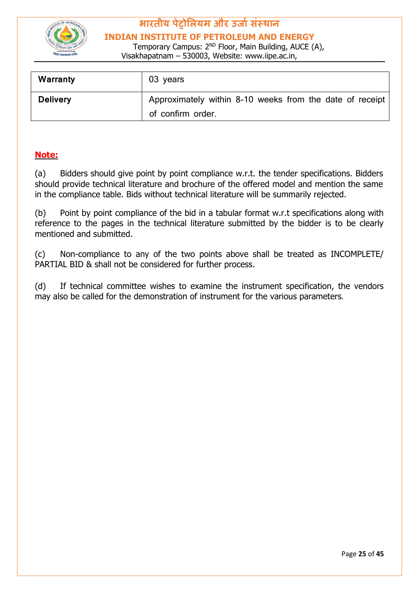

**INDIAN INSTITUTE OF PETROLEUM AND ENERGY**

Temporary Campus: 2<sup>ND</sup> Floor, Main Building, AUCE (A), Visakhapatnam – 530003, Website: www.iipe.ac.in,

| Warranty        | 03 years                                                                      |
|-----------------|-------------------------------------------------------------------------------|
| <b>Delivery</b> | Approximately within 8-10 weeks from the date of receipt<br>of confirm order. |

#### **Note:**

(a) Bidders should give point by point compliance w.r.t. the tender specifications. Bidders should provide technical literature and brochure of the offered model and mention the same in the compliance table. Bids without technical literature will be summarily rejected.

(b) Point by point compliance of the bid in a tabular format w.r.t specifications along with reference to the pages in the technical literature submitted by the bidder is to be clearly mentioned and submitted.

(c) Non-compliance to any of the two points above shall be treated as INCOMPLETE/ PARTIAL BID & shall not be considered for further process.

(d) If technical committee wishes to examine the instrument specification, the vendors may also be called for the demonstration of instrument for the various parameters.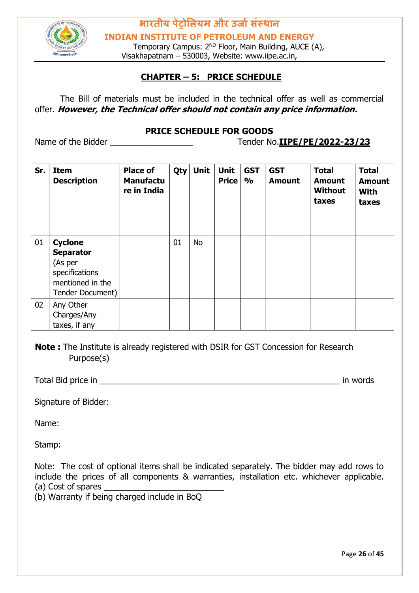

**INDIAN INSTITUTE OF PETROLEUM AND ENERGY**

Temporary Campus: 2<sup>ND</sup> Floor, Main Building, AUCE (A), Visakhapatnam – 530003, Website: www.iipe.ac.in,

#### **CHAPTER – 5: PRICE SCHEDULE**

The Bill of materials must be included in the technical offer as well as commercial offer. **However, the Technical offer should not contain any price information.**

#### **PRICE SCHEDULE FOR GOODS**

Name of the Bidder \_\_\_\_\_\_\_\_\_\_\_\_\_\_\_\_\_\_ Tender No.**IIPE/PE/2022-23/23** 

| Sr. | <b>Item</b><br><b>Description</b>                                                                       | <b>Place of</b><br><b>Manufactu</b><br>re in India | <b>Qty</b> | <b>Unit</b> | <b>Unit</b><br><b>Price</b> | <b>GST</b><br>$\frac{1}{2}$ | <b>GST</b><br><b>Amount</b> | <b>Total</b><br><b>Amount</b><br><b>Without</b><br>taxes | <b>Total</b><br><b>Amount</b><br><b>With</b><br>taxes |
|-----|---------------------------------------------------------------------------------------------------------|----------------------------------------------------|------------|-------------|-----------------------------|-----------------------------|-----------------------------|----------------------------------------------------------|-------------------------------------------------------|
| 01  | <b>Cyclone</b><br><b>Separator</b><br>(As per<br>specifications<br>mentioned in the<br>Tender Document) |                                                    | 01         | No          |                             |                             |                             |                                                          |                                                       |
| 02  | Any Other<br>Charges/Any<br>taxes, if any                                                               |                                                    |            |             |                             |                             |                             |                                                          |                                                       |

**Note:** The Institute is already registered with DSIR for GST Concession for Research Purpose(s)

Total Bid price in \_\_\_\_\_\_\_\_\_\_\_\_\_\_\_\_\_\_\_\_\_\_\_\_\_\_\_\_\_\_\_\_\_\_\_\_\_\_\_\_\_\_\_\_\_\_\_\_\_\_\_\_ in words

Signature of Bidder:

Name:

Stamp:

Note: The cost of optional items shall be indicated separately. The bidder may add rows to include the prices of all components & warranties, installation etc. whichever applicable. (a) Cost of spares

(b) Warranty if being charged include in BoQ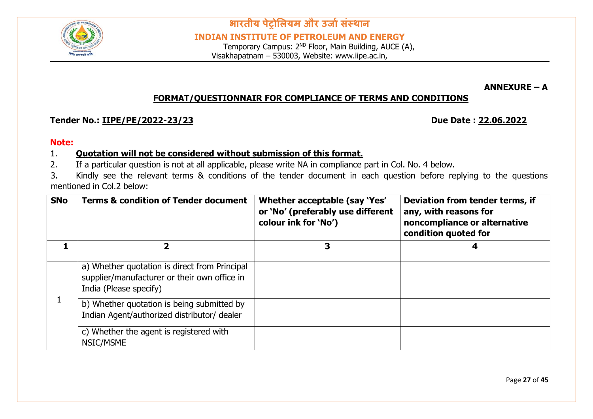

**भारतीय पेट्रोलियम और उर्ाासंस्थान INDIAN INSTITUTE OF PETROLEUM AND ENERGY**

Temporary Campus: 2<sup>ND</sup> Floor, Main Building, AUCE (A), Visakhapatnam – 530003, Website: www.iipe.ac.in,

**ANNEXURE – A** 

#### **FORMAT/QUESTIONNAIR FOR COMPLIANCE OF TERMS AND CONDITIONS**

#### **Tender No.: IIPE/PE/2022-23/23 Due Date : 22.06.2022**

#### **Note:**

#### 1. **Quotation will not be considered without submission of this format**.

2. If a particular question is not at all applicable, please write NA in compliance part in Col. No. 4 below.

3. Kindly see the relevant terms & conditions of the tender document in each question before replying to the questions mentioned in Col.2 below:

| <b>SNo</b> | <b>Terms &amp; condition of Tender document</b>                                                                         | Whether acceptable (say 'Yes'<br>or 'No' (preferably use different<br>colour ink for 'No') | Deviation from tender terms, if<br>any, with reasons for<br>noncompliance or alternative<br>condition quoted for |
|------------|-------------------------------------------------------------------------------------------------------------------------|--------------------------------------------------------------------------------------------|------------------------------------------------------------------------------------------------------------------|
|            | כ                                                                                                                       | 3                                                                                          |                                                                                                                  |
|            | a) Whether quotation is direct from Principal<br>supplier/manufacturer or their own office in<br>India (Please specify) |                                                                                            |                                                                                                                  |
|            | b) Whether quotation is being submitted by<br>Indian Agent/authorized distributor/ dealer                               |                                                                                            |                                                                                                                  |
|            | c) Whether the agent is registered with<br>NSIC/MSME                                                                    |                                                                                            |                                                                                                                  |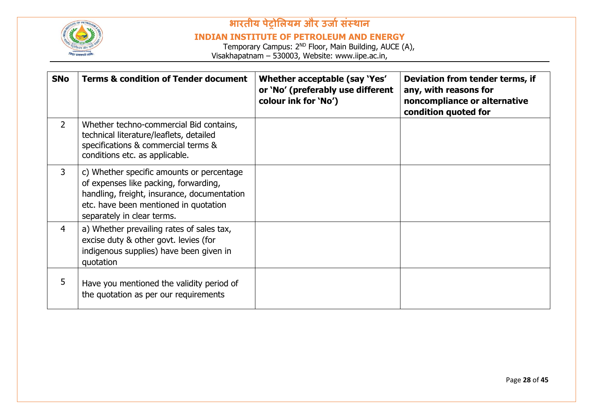

#### **INDIAN INSTITUTE OF PETROLEUM AND ENERGY**

| <b>SNo</b>     | <b>Terms &amp; condition of Tender document</b>                                                                                                                                                          | Whether acceptable (say 'Yes'<br>or 'No' (preferably use different<br>colour ink for 'No') | Deviation from tender terms, if<br>any, with reasons for<br>noncompliance or alternative<br>condition quoted for |
|----------------|----------------------------------------------------------------------------------------------------------------------------------------------------------------------------------------------------------|--------------------------------------------------------------------------------------------|------------------------------------------------------------------------------------------------------------------|
| $\overline{2}$ | Whether techno-commercial Bid contains,<br>technical literature/leaflets, detailed<br>specifications & commercial terms &<br>conditions etc. as applicable.                                              |                                                                                            |                                                                                                                  |
| 3              | c) Whether specific amounts or percentage<br>of expenses like packing, forwarding,<br>handling, freight, insurance, documentation<br>etc. have been mentioned in quotation<br>separately in clear terms. |                                                                                            |                                                                                                                  |
| $\overline{4}$ | a) Whether prevailing rates of sales tax,<br>excise duty & other govt. levies (for<br>indigenous supplies) have been given in<br>quotation                                                               |                                                                                            |                                                                                                                  |
| 5              | Have you mentioned the validity period of<br>the quotation as per our requirements                                                                                                                       |                                                                                            |                                                                                                                  |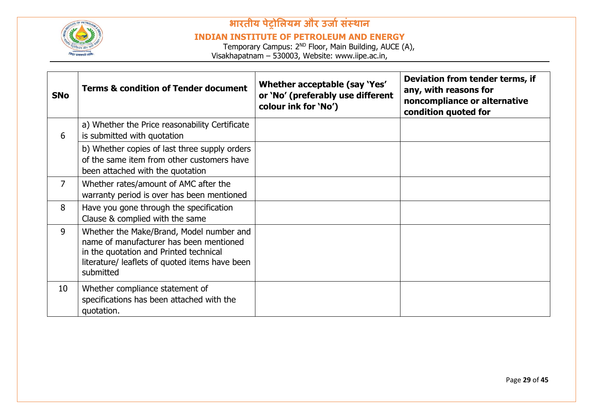

#### **INDIAN INSTITUTE OF PETROLEUM AND ENERGY**

| <b>SNo</b>      | <b>Terms &amp; condition of Tender document</b>                                                                                                                                              | Whether acceptable (say 'Yes'<br>or 'No' (preferably use different<br>colour ink for 'No') | Deviation from tender terms, if<br>any, with reasons for<br>noncompliance or alternative<br>condition quoted for |
|-----------------|----------------------------------------------------------------------------------------------------------------------------------------------------------------------------------------------|--------------------------------------------------------------------------------------------|------------------------------------------------------------------------------------------------------------------|
| 6               | a) Whether the Price reasonability Certificate<br>is submitted with quotation                                                                                                                |                                                                                            |                                                                                                                  |
|                 | b) Whether copies of last three supply orders<br>of the same item from other customers have<br>been attached with the quotation                                                              |                                                                                            |                                                                                                                  |
| $\overline{7}$  | Whether rates/amount of AMC after the<br>warranty period is over has been mentioned                                                                                                          |                                                                                            |                                                                                                                  |
| 8               | Have you gone through the specification<br>Clause & complied with the same                                                                                                                   |                                                                                            |                                                                                                                  |
| 9               | Whether the Make/Brand, Model number and<br>name of manufacturer has been mentioned<br>in the quotation and Printed technical<br>literature/ leaflets of quoted items have been<br>submitted |                                                                                            |                                                                                                                  |
| 10 <sup>°</sup> | Whether compliance statement of<br>specifications has been attached with the<br>quotation.                                                                                                   |                                                                                            |                                                                                                                  |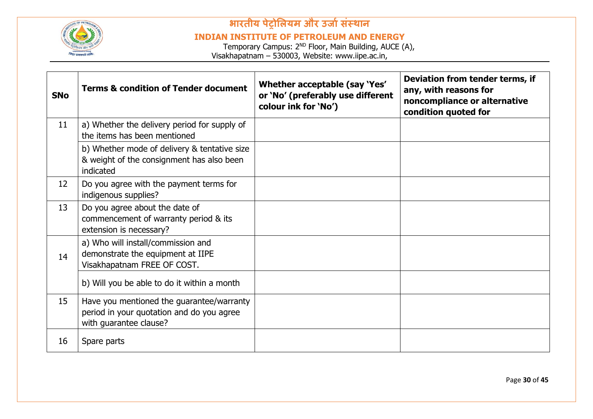

#### **INDIAN INSTITUTE OF PETROLEUM AND ENERGY**

| <b>SNo</b> | <b>Terms &amp; condition of Tender document</b>                                                                  | Whether acceptable (say 'Yes'<br>or 'No' (preferably use different<br>colour ink for 'No') | Deviation from tender terms, if<br>any, with reasons for<br>noncompliance or alternative<br>condition quoted for |
|------------|------------------------------------------------------------------------------------------------------------------|--------------------------------------------------------------------------------------------|------------------------------------------------------------------------------------------------------------------|
| 11         | a) Whether the delivery period for supply of<br>the items has been mentioned                                     |                                                                                            |                                                                                                                  |
|            | b) Whether mode of delivery & tentative size<br>& weight of the consignment has also been<br>indicated           |                                                                                            |                                                                                                                  |
| 12         | Do you agree with the payment terms for<br>indigenous supplies?                                                  |                                                                                            |                                                                                                                  |
| 13         | Do you agree about the date of<br>commencement of warranty period & its<br>extension is necessary?               |                                                                                            |                                                                                                                  |
| 14         | a) Who will install/commission and<br>demonstrate the equipment at IIPE<br>Visakhapatnam FREE OF COST.           |                                                                                            |                                                                                                                  |
|            | b) Will you be able to do it within a month                                                                      |                                                                                            |                                                                                                                  |
| 15         | Have you mentioned the guarantee/warranty<br>period in your quotation and do you agree<br>with guarantee clause? |                                                                                            |                                                                                                                  |
| 16         | Spare parts                                                                                                      |                                                                                            |                                                                                                                  |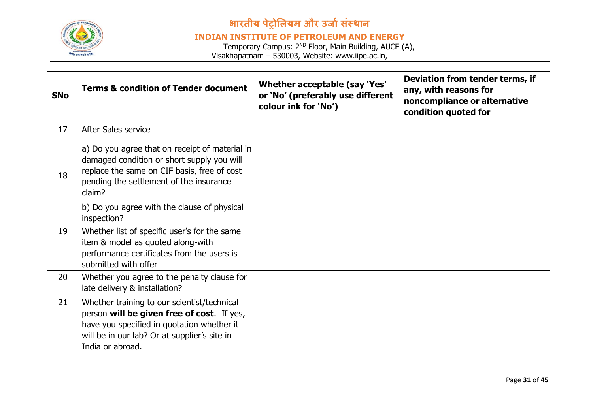

#### **INDIAN INSTITUTE OF PETROLEUM AND ENERGY**

| <b>SNo</b> | <b>Terms &amp; condition of Tender document</b>                                                                                                                                                             | Whether acceptable (say 'Yes'<br>or 'No' (preferably use different<br>colour ink for 'No') | Deviation from tender terms, if<br>any, with reasons for<br>noncompliance or alternative<br>condition quoted for |
|------------|-------------------------------------------------------------------------------------------------------------------------------------------------------------------------------------------------------------|--------------------------------------------------------------------------------------------|------------------------------------------------------------------------------------------------------------------|
| 17         | After Sales service                                                                                                                                                                                         |                                                                                            |                                                                                                                  |
| 18         | a) Do you agree that on receipt of material in<br>damaged condition or short supply you will<br>replace the same on CIF basis, free of cost<br>pending the settlement of the insurance<br>claim?            |                                                                                            |                                                                                                                  |
|            | b) Do you agree with the clause of physical<br>inspection?                                                                                                                                                  |                                                                                            |                                                                                                                  |
| 19         | Whether list of specific user's for the same<br>item & model as quoted along-with<br>performance certificates from the users is<br>submitted with offer                                                     |                                                                                            |                                                                                                                  |
| 20         | Whether you agree to the penalty clause for<br>late delivery & installation?                                                                                                                                |                                                                                            |                                                                                                                  |
| 21         | Whether training to our scientist/technical<br>person will be given free of cost. If yes,<br>have you specified in quotation whether it<br>will be in our lab? Or at supplier's site in<br>India or abroad. |                                                                                            |                                                                                                                  |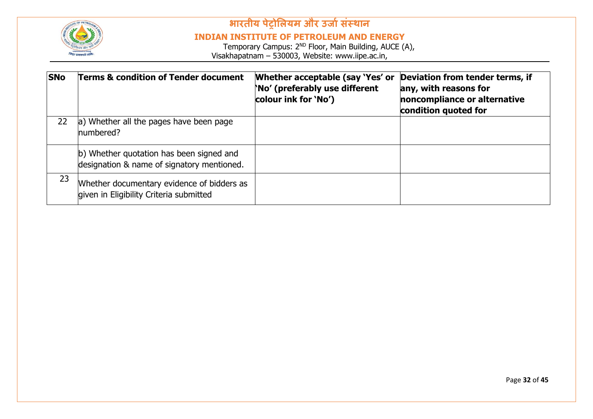

#### **INDIAN INSTITUTE OF PETROLEUM AND ENERGY**

| <b>SNo</b> | <b>Terms &amp; condition of Tender document</b>                                        | Whether acceptable (say 'Yes' or<br>No' (preferably use different<br>colour ink for 'No') | Deviation from tender terms, if<br>any, with reasons for<br>noncompliance or alternative<br>condition quoted for |
|------------|----------------------------------------------------------------------------------------|-------------------------------------------------------------------------------------------|------------------------------------------------------------------------------------------------------------------|
| 22         | a) Whether all the pages have been page<br>numbered?                                   |                                                                                           |                                                                                                                  |
|            | b) Whether quotation has been signed and<br>designation & name of signatory mentioned. |                                                                                           |                                                                                                                  |
| 23         | Whether documentary evidence of bidders as<br>given in Eligibility Criteria submitted  |                                                                                           |                                                                                                                  |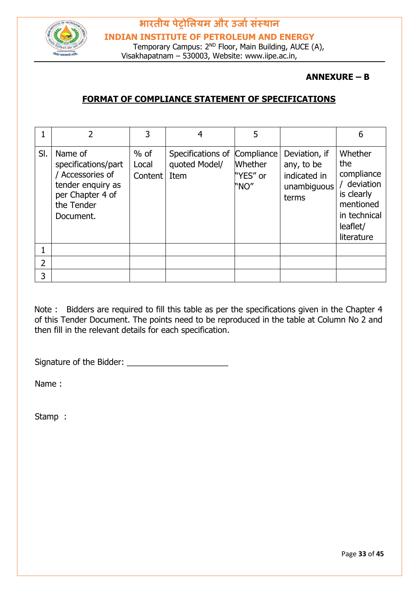

#### **ANNEXURE – B**

#### **FORMAT OF COMPLIANCE STATEMENT OF SPECIFICATIONS**

|     |                                                                                                                      |                            |                                            | 5                                                |                                                                     | 6                                                                                                                |
|-----|----------------------------------------------------------------------------------------------------------------------|----------------------------|--------------------------------------------|--------------------------------------------------|---------------------------------------------------------------------|------------------------------------------------------------------------------------------------------------------|
| SI. | Name of<br>specifications/part<br>Accessories of<br>tender enquiry as<br>per Chapter 4 of<br>the Tender<br>Document. | $%$ of<br>Local<br>Content | Specifications of<br>quoted Model/<br>Item | Compliance<br><b>Whether</b><br>"YES" or<br>"NO" | Deviation, if<br>any, to be<br>indicated in<br>unambiguous<br>terms | Whether<br>the<br>compliance<br>/ deviation<br>is clearly<br>mentioned<br>in technical<br>leaflet/<br>literature |
|     |                                                                                                                      |                            |                                            |                                                  |                                                                     |                                                                                                                  |
| 2   |                                                                                                                      |                            |                                            |                                                  |                                                                     |                                                                                                                  |
| 3   |                                                                                                                      |                            |                                            |                                                  |                                                                     |                                                                                                                  |

Note : Bidders are required to fill this table as per the specifications given in the Chapter 4 of this Tender Document. The points need to be reproduced in the table at Column No 2 and then fill in the relevant details for each specification.

Signature of the Bidder: \_\_\_\_\_\_\_\_\_\_\_\_\_\_\_\_\_\_\_\_\_\_

Name :

Stamp :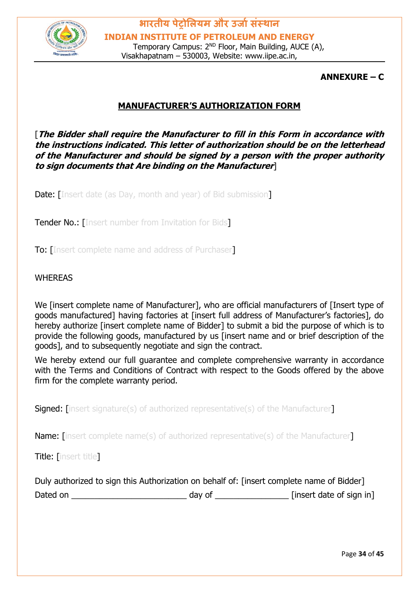

**ANNEXURE – C**

#### **MANUFACTURER'S AUTHORIZATION FORM**

[**The Bidder shall require the Manufacturer to fill in this Form in accordance with the instructions indicated. This letter of authorization should be on the letterhead of the Manufacturer and should be signed by a person with the proper authority to sign documents that Are binding on the Manufacturer**]

**Date:** [Insert date (as Day, month and year) of Bid submission]

**Tender No.: [Insert number from Invitation for Bids]** 

To: [Insert complete name and address of Purchaser]

#### WHEREAS

We [insert complete name of Manufacturer], who are official manufacturers of [Insert type of goods manufactured] having factories at [insert full address of Manufacturer's factories], do hereby authorize [insert complete name of Bidder] to submit a bid the purpose of which is to provide the following goods, manufactured by us [insert name and or brief description of the goods], and to subsequently negotiate and sign the contract.

We hereby extend our full quarantee and complete comprehensive warranty in accordance with the Terms and Conditions of Contract with respect to the Goods offered by the above firm for the complete warranty period.

**Signed:** [insert signature(s) of authorized representative(s) of the Manufacturer]

Name: linsert complete name(s) of authorized representative(s) of the Manufacturer

Title: [insert title]

|          | Duly authorized to sign this Authorization on behalf of: [insert complete name of Bidder] |                          |
|----------|-------------------------------------------------------------------------------------------|--------------------------|
| Dated on | day of                                                                                    | [insert date of sign in] |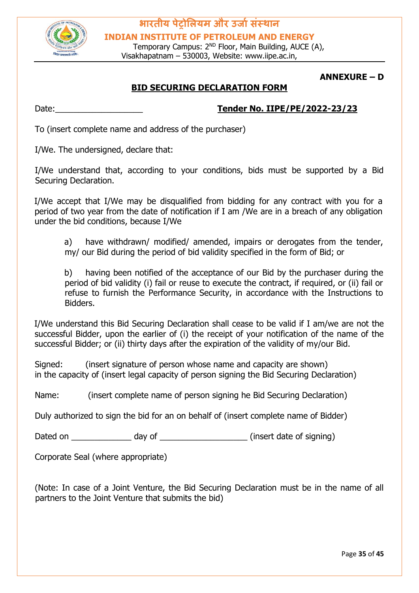

Temporary Campus: 2<sup>ND</sup> Floor, Main Building, AUCE (A), Visakhapatnam – 530003, Website: www.iipe.ac.in,

#### **ANNEXURE – D**

#### **BID SECURING DECLARATION FORM**

#### Date:\_\_\_\_\_\_\_\_\_\_\_\_\_\_\_\_\_\_\_ **Tender No. IIPE/PE/2022-23/23**

To (insert complete name and address of the purchaser)

I/We. The undersigned, declare that:

I/We understand that, according to your conditions, bids must be supported by a Bid Securing Declaration.

I/We accept that I/We may be disqualified from bidding for any contract with you for a period of two year from the date of notification if I am /We are in a breach of any obligation under the bid conditions, because I/We

- a) have withdrawn/ modified/ amended, impairs or derogates from the tender,
- my/ our Bid during the period of bid validity specified in the form of Bid; or

b) having been notified of the acceptance of our Bid by the purchaser during the period of bid validity (i) fail or reuse to execute the contract, if required, or (ii) fail or refuse to furnish the Performance Security, in accordance with the Instructions to Bidders.

I/We understand this Bid Securing Declaration shall cease to be valid if I am/we are not the successful Bidder, upon the earlier of (i) the receipt of your notification of the name of the successful Bidder; or (ii) thirty days after the expiration of the validity of my/our Bid.

Signed: (insert signature of person whose name and capacity are shown) in the capacity of (insert legal capacity of person signing the Bid Securing Declaration)

Name: (insert complete name of person signing he Bid Securing Declaration)

Duly authorized to sign the bid for an on behalf of (insert complete name of Bidder)

Dated on \_\_\_\_\_\_\_\_\_\_\_\_\_\_\_ day of \_\_\_\_\_\_\_\_\_\_\_\_\_\_\_\_\_\_\_\_\_\_\_\_(insert date of signing)

Corporate Seal (where appropriate)

(Note: In case of a Joint Venture, the Bid Securing Declaration must be in the name of all partners to the Joint Venture that submits the bid)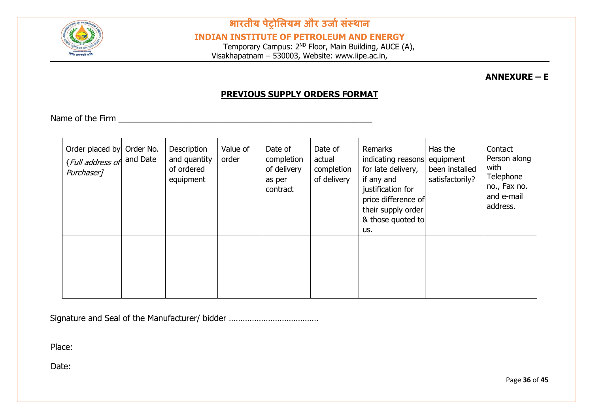

**INDIAN INSTITUTE OF PETROLEUM AND ENERGY**

Temporary Campus: 2<sup>ND</sup> Floor, Main Building, AUCE (A), Visakhapatnam – 530003, Website: www.iipe.ac.in,

**ANNEXURE – E** 

#### **PREVIOUS SUPPLY ORDERS FORMAT**

Name of the Firm  $\blacksquare$ 

| Order placed by Order No.<br><i>{Full address of</i> and Date<br>Purchaser <sub>1</sub> | Description<br>and quantity<br>of ordered<br>equipment | Value of<br>order | Date of<br>completion<br>of delivery<br>as per<br>contract | Date of<br>actual<br>completion<br>of delivery | Remarks<br>indicating reasons<br>for late delivery,<br>if any and<br>justification for<br>price difference of<br>their supply order<br>& those quoted to<br>us. | Has the<br>equipment<br>been installed<br>satisfactorily? | Contact<br>Person along<br>with<br>Telephone<br>no., Fax no.<br>and e-mail<br>address. |
|-----------------------------------------------------------------------------------------|--------------------------------------------------------|-------------------|------------------------------------------------------------|------------------------------------------------|-----------------------------------------------------------------------------------------------------------------------------------------------------------------|-----------------------------------------------------------|----------------------------------------------------------------------------------------|
|                                                                                         |                                                        |                   |                                                            |                                                |                                                                                                                                                                 |                                                           |                                                                                        |

Signature and Seal of the Manufacturer/ bidder …………………………………

Place:

Date: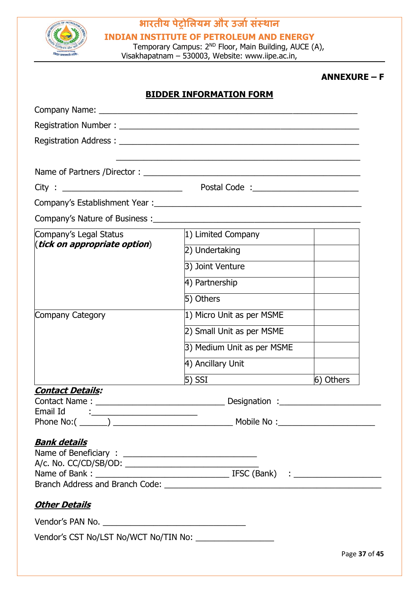

**INDIAN INSTITUTE OF PETROLEUM AND ENERGY**

Temporary Campus: 2<sup>ND</sup> Floor, Main Building, AUCE (A), Visakhapatnam – 530003, Website: www.iipe.ac.in,

#### **ANNEXURE – F**

|                                                                  | <b>BIDDER INFORMATION FORM</b> |               |
|------------------------------------------------------------------|--------------------------------|---------------|
|                                                                  |                                |               |
|                                                                  |                                |               |
|                                                                  |                                |               |
|                                                                  |                                |               |
| Name of Partners /Director :                                     |                                |               |
| City:                                                            |                                |               |
|                                                                  |                                |               |
|                                                                  |                                |               |
| Company's Legal Status                                           | 1) Limited Company             |               |
| ( <i>tick on appropriate option</i> )                            | 2) Undertaking                 |               |
|                                                                  | 3) Joint Venture               |               |
|                                                                  | 4) Partnership                 |               |
|                                                                  | 5) Others                      |               |
| Company Category                                                 | 1) Micro Unit as per MSME      |               |
|                                                                  | 2) Small Unit as per MSME      |               |
|                                                                  | 3) Medium Unit as per MSME     |               |
|                                                                  | 4) Ancillary Unit              |               |
|                                                                  |                                | 6) Others     |
| <u> Contact Details:</u><br>Contact Name:                        | Designation :__                |               |
| Email Id<br><u> 1989 - Johann Stein, Amerikaansk politiker (</u> |                                |               |
|                                                                  |                                |               |
| <u>Bank details</u>                                              |                                |               |
| <u> Other Details</u>                                            |                                |               |
|                                                                  |                                |               |
|                                                                  |                                |               |
|                                                                  |                                | Page 37 of 45 |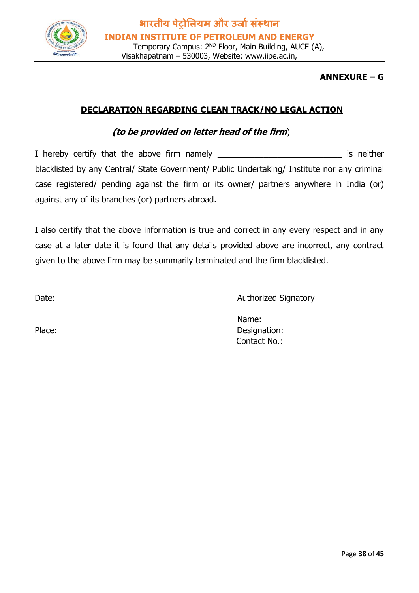

#### **ANNEXURE – G**

#### **DECLARATION REGARDING CLEAN TRACK/NO LEGAL ACTION**

#### **(to be provided on letter head of the firm**)

I hereby certify that the above firm namely \_\_\_\_\_\_\_\_\_\_\_\_\_\_\_\_\_\_\_\_\_\_\_\_\_\_\_\_\_\_\_\_\_\_\_ is neither blacklisted by any Central/ State Government/ Public Undertaking/ Institute nor any criminal case registered/ pending against the firm or its owner/ partners anywhere in India (or) against any of its branches (or) partners abroad.

I also certify that the above information is true and correct in any every respect and in any case at a later date it is found that any details provided above are incorrect, any contract given to the above firm may be summarily terminated and the firm blacklisted.

Date: **Date: Authorized Signatory** 

Name: Place: Designation: Contact No.: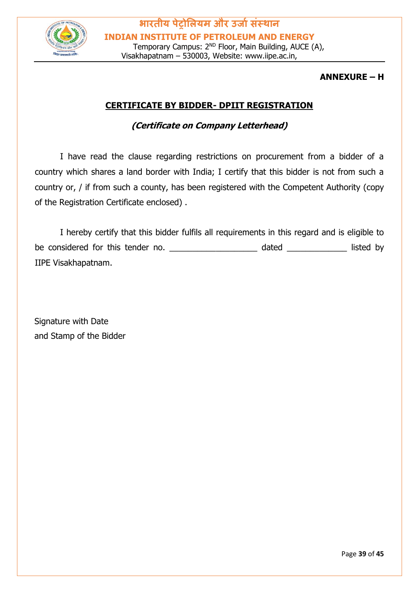

#### **ANNEXURE – H**

#### **CERTIFICATE BY BIDDER- DPIIT REGISTRATION**

#### **(Certificate on Company Letterhead)**

I have read the clause regarding restrictions on procurement from a bidder of a country which shares a land border with India; I certify that this bidder is not from such a country or, / if from such a county, has been registered with the Competent Authority (copy of the Registration Certificate enclosed) .

I hereby certify that this bidder fulfils all requirements in this regard and is eligible to be considered for this tender no. The considered for this tender no. IIPE Visakhapatnam.

Signature with Date and Stamp of the Bidder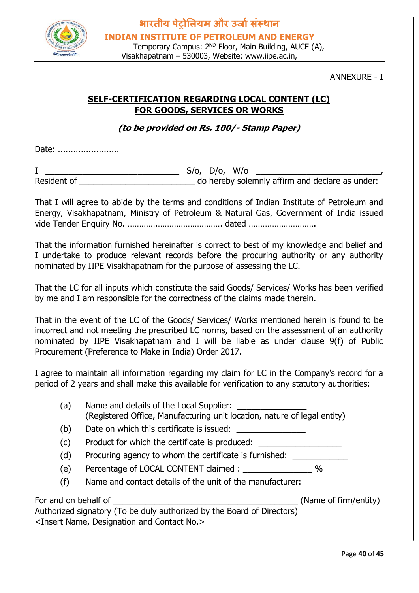

#### ANNEXURE - I

#### **SELF-CERTIFICATION REGARDING LOCAL CONTENT (LC) FOR GOODS, SERVICES OR WORKS**

**(to be provided on Rs. 100/- Stamp Paper)**

Date: ........................

I \_\_\_\_\_\_\_\_\_\_\_\_\_\_\_\_\_\_\_\_\_\_\_\_\_\_\_\_\_ S/o, D/o, W/o \_\_\_\_\_\_\_\_\_\_\_\_\_\_\_\_\_\_\_\_\_\_\_\_\_\_\_, Resident of **Example 20** Resident of **Resident of**  $\alpha$  and  $\beta$  do hereby solemnly affirm and declare as under:

That I will agree to abide by the terms and conditions of Indian Institute of Petroleum and Energy, Visakhapatnam, Ministry of Petroleum & Natural Gas, Government of India issued vide Tender Enquiry No. ………….………………………. dated ……….……………….

That the information furnished hereinafter is correct to best of my knowledge and belief and I undertake to produce relevant records before the procuring authority or any authority nominated by IIPE Visakhapatnam for the purpose of assessing the LC.

That the LC for all inputs which constitute the said Goods/ Services/ Works has been verified by me and I am responsible for the correctness of the claims made therein.

That in the event of the LC of the Goods/ Services/ Works mentioned herein is found to be incorrect and not meeting the prescribed LC norms, based on the assessment of an authority nominated by IIPE Visakhapatnam and I will be liable as under clause 9(f) of Public Procurement (Preference to Make in India) Order 2017.

I agree to maintain all information regarding my claim for LC in the Company's record for a period of 2 years and shall make this available for verification to any statutory authorities:

| (a)                  | Name and details of the Local Supplier:<br>(Registered Office, Manufacturing unit location, nature of legal entity) |                       |
|----------------------|---------------------------------------------------------------------------------------------------------------------|-----------------------|
| (b)                  | Date on which this certificate is issued:                                                                           |                       |
| (c)                  | Product for which the certificate is produced:                                                                      |                       |
| (d)                  | Procuring agency to whom the certificate is furnished:                                                              |                       |
| (e)                  |                                                                                                                     | $\%$                  |
| (f)                  | Name and contact details of the unit of the manufacturer:                                                           |                       |
| For and on behalf of |                                                                                                                     | (Name of firm/entity) |
|                      | Authorized signatory (To be duly authorized by the Board of Directors)                                              |                       |
|                      | <insert and="" contact="" designation="" name,="" no.=""></insert>                                                  |                       |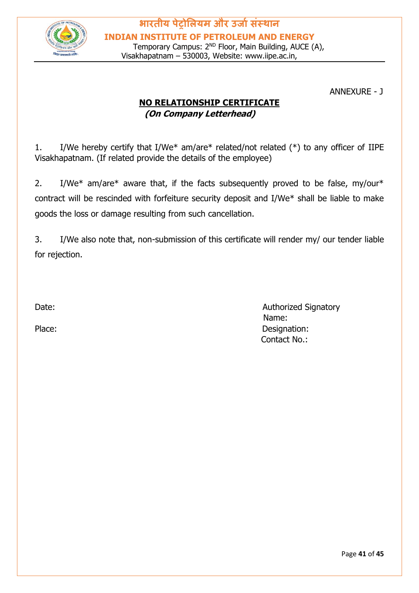

ANNEXURE - J

### **NO RELATIONSHIP CERTIFICATE (On Company Letterhead)**

1. I/We hereby certify that I/We\* am/are\* related/not related (\*) to any officer of IIPE Visakhapatnam. (If related provide the details of the employee)

2. I/We\* am/are\* aware that, if the facts subsequently proved to be false, my/our\* contract will be rescinded with forfeiture security deposit and I/We\* shall be liable to make goods the loss or damage resulting from such cancellation.

3. I/We also note that, non-submission of this certificate will render my/ our tender liable for rejection.

Date: **Authorized Signatory Contract Contract Contract Contract Contract Contract Contract Contract Contract Contract Contract Contract Contract Contract Contract Contract Contract Contract Contract Contract Contract Con**  Name: Place: Designation: Contact No.: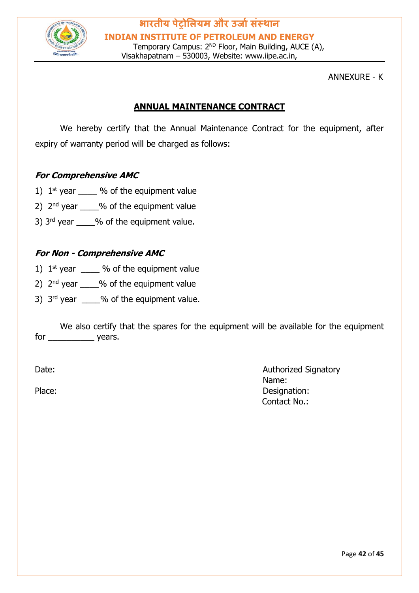

ANNEXURE - K

#### **ANNUAL MAINTENANCE CONTRACT**

We hereby certify that the Annual Maintenance Contract for the equipment, after expiry of warranty period will be charged as follows:

#### **For Comprehensive AMC**

- 1)  $1^{st}$  year  $\frac{9}{6}$  of the equipment value
- 2)  $2<sup>nd</sup>$  year  $\frac{9}{6}$  of the equipment value
- 3)  $3<sup>rd</sup>$  year  $\frac{9}{6}$  of the equipment value.

#### **For Non - Comprehensive AMC**

- 1)  $1^{st}$  year  $\%$  of the equipment value
- 2)  $2<sup>nd</sup>$  vear  $\frac{9}{6}$  of the equipment value
- 3)  $3<sup>rd</sup>$  year  $\_\_\_\_\%$  of the equipment value.

We also certify that the spares for the equipment will be available for the equipment for \_\_\_\_\_\_\_\_\_\_\_\_\_ years.

Date: **Authorized Signatory Contract Contract Contract Contract Contract Contract Contract Contract Contract Contract Contract Contract Contract Contract Contract Contract Contract Contract Contract Contract Contract Con**  Name: Place: Designation: Contact No.: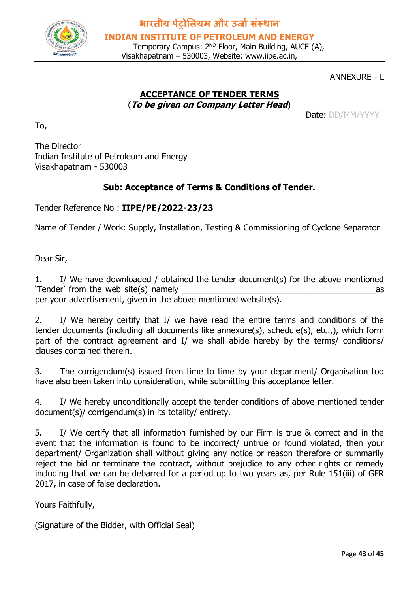

Temporary Campus: 2<sup>ND</sup> Floor, Main Building, AUCE (A), Visakhapatnam – 530003, Website: www.iipe.ac.in,

#### ANNEXURE - L

#### **ACCEPTANCE OF TENDER TERMS** (**To be given on Company Letter Head**)

Date: DD/MM/YYYY

The Director Indian Institute of Petroleum and Energy Visakhapatnam - 530003

#### **Sub: Acceptance of Terms & Conditions of Tender.**

Tender Reference No : **IIPE/PE/2022-23/23**

Name of Tender / Work: Supply, Installation, Testing & Commissioning of Cyclone Separator

Dear Sir,

To,

1. I/ We have downloaded / obtained the tender document(s) for the above mentioned 'Tender' from the web site(s) namely \_\_\_\_\_\_\_\_\_\_\_\_\_\_\_\_\_\_\_\_\_\_\_\_\_\_\_\_\_\_\_\_\_\_\_\_\_\_\_\_\_\_as per your advertisement, given in the above mentioned website(s).

2. I/ We hereby certify that I/ we have read the entire terms and conditions of the tender documents (including all documents like annexure(s), schedule(s), etc.,), which form part of the contract agreement and I/ we shall abide hereby by the terms/ conditions/ clauses contained therein.

3. The corrigendum(s) issued from time to time by your department/ Organisation too have also been taken into consideration, while submitting this acceptance letter.

4. I/ We hereby unconditionally accept the tender conditions of above mentioned tender document(s)/ corrigendum(s) in its totality/ entirety.

5. I/ We certify that all information furnished by our Firm is true & correct and in the event that the information is found to be incorrect/ untrue or found violated, then your department/ Organization shall without giving any notice or reason therefore or summarily reject the bid or terminate the contract, without prejudice to any other rights or remedy including that we can be debarred for a period up to two years as, per Rule 151(iii) of GFR 2017, in case of false declaration.

Yours Faithfully,

(Signature of the Bidder, with Official Seal)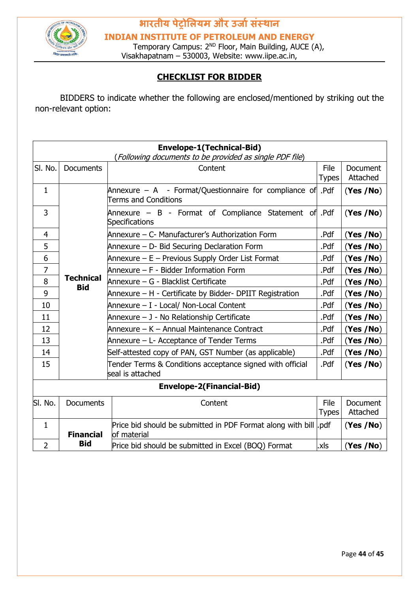

**INDIAN INSTITUTE OF PETROLEUM AND ENERGY**

Temporary Campus: 2<sup>ND</sup> Floor, Main Building, AUCE (A), Visakhapatnam – 530003, Website: www.iipe.ac.in,

#### **CHECKLIST FOR BIDDER**

BIDDERS to indicate whether the following are enclosed/mentioned by striking out the non-relevant option:

| <b>Envelope-1(Technical-Bid)</b><br>(Following documents to be provided as single PDF file) |                                |                                                                                          |                      |                             |  |  |
|---------------------------------------------------------------------------------------------|--------------------------------|------------------------------------------------------------------------------------------|----------------------|-----------------------------|--|--|
| SI. No.                                                                                     | Documents                      | Content                                                                                  | File<br><b>Types</b> | <b>Document</b><br>Attached |  |  |
| $\mathbf{1}$                                                                                |                                | Annexure – A - Format/Questionnaire for compliance of Pdf<br><b>Terms and Conditions</b> |                      | (Yes / No)                  |  |  |
| 3                                                                                           |                                | Annexure – B - Format of Compliance Statement of Pdf<br><b>Specifications</b>            |                      | (Yes / No)                  |  |  |
| 4                                                                                           |                                | Annexure – C- Manufacturer's Authorization Form                                          | .Pdf                 | (Yes / No)                  |  |  |
| 5                                                                                           |                                | Annexure – D- Bid Securing Declaration Form                                              | .Pdf                 | (Yes / No)                  |  |  |
| 6                                                                                           |                                | Annexure - E - Previous Supply Order List Format                                         | .Pdf                 | (Yes / No)                  |  |  |
| 7                                                                                           |                                | Annexure - F - Bidder Information Form                                                   | .Pdf                 | (Yes / No)                  |  |  |
| 8                                                                                           | <b>Technical</b><br><b>Bid</b> | Annexure – G - Blacklist Certificate<br>.Pdf                                             |                      | (Yes / No)                  |  |  |
| 9                                                                                           |                                | Annexure - H - Certificate by Bidder- DPIIT Registration                                 |                      | (Yes / No)                  |  |  |
| 10                                                                                          |                                | Annexure – I - Local/ Non-Local Content<br>.Pdf                                          |                      | (Yes / No)                  |  |  |
| 11                                                                                          |                                | Annexure – J - No Relationship Certificate                                               | .Pdf                 | (Yes / No)                  |  |  |
| 12                                                                                          |                                | Annexure – K – Annual Maintenance Contract                                               | .Pdf                 | (Yes /No)                   |  |  |
| 13                                                                                          |                                | Annexure – L- Acceptance of Tender Terms                                                 | .Pdf                 | (Yes / No)                  |  |  |
| 14                                                                                          |                                | Self-attested copy of PAN, GST Number (as applicable)                                    | .Pdf                 | (Yes / No)                  |  |  |
| 15                                                                                          |                                | Tender Terms & Conditions acceptance signed with official<br>seal is attached            | .Pdf                 | (Yes / No)                  |  |  |
| <b>Envelope-2(Financial-Bid)</b>                                                            |                                |                                                                                          |                      |                             |  |  |
| SI. No.                                                                                     | <b>Documents</b>               | Content                                                                                  | File<br><b>Types</b> | <b>Document</b><br>Attached |  |  |
| 1                                                                                           | <b>Financial</b>               | Price bid should be submitted in PDF Format along with bill odf<br>of material           |                      | (Yes / No)                  |  |  |
| $\overline{2}$                                                                              | <b>Bid</b>                     | Price bid should be submitted in Excel (BOQ) Format                                      | .xls                 | (Yes / No)                  |  |  |